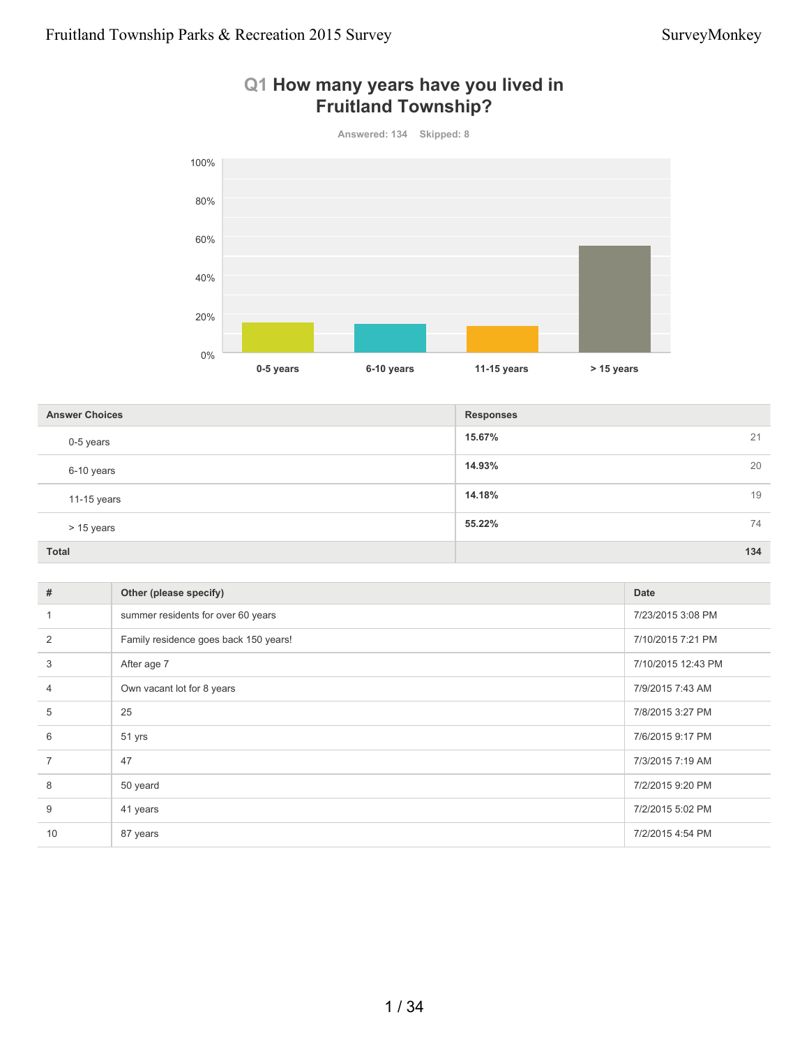

### **Q1 How many years have you lived in Fruitland Township?**

**15.67%** 21 **14.93%** 20 **14.18%** 19 **55.22%** 74 **Total 134 Answer Choices Responses** 0-5 years 6-10 years 11-15 years > 15 years

| #              | Other (please specify)                | Date               |
|----------------|---------------------------------------|--------------------|
|                | summer residents for over 60 years    | 7/23/2015 3:08 PM  |
| 2              | Family residence goes back 150 years! | 7/10/2015 7:21 PM  |
| 3              | After age 7                           | 7/10/2015 12:43 PM |
| $\overline{4}$ | Own vacant lot for 8 years            | 7/9/2015 7:43 AM   |
| 5              | 25                                    | 7/8/2015 3:27 PM   |
| 6              | 51 yrs                                | 7/6/2015 9:17 PM   |
| $\overline{7}$ | 47                                    | 7/3/2015 7:19 AM   |
| 8              | 50 yeard                              | 7/2/2015 9:20 PM   |
| 9              | 41 years                              | 7/2/2015 5:02 PM   |
| 10             | 87 years                              | 7/2/2015 4:54 PM   |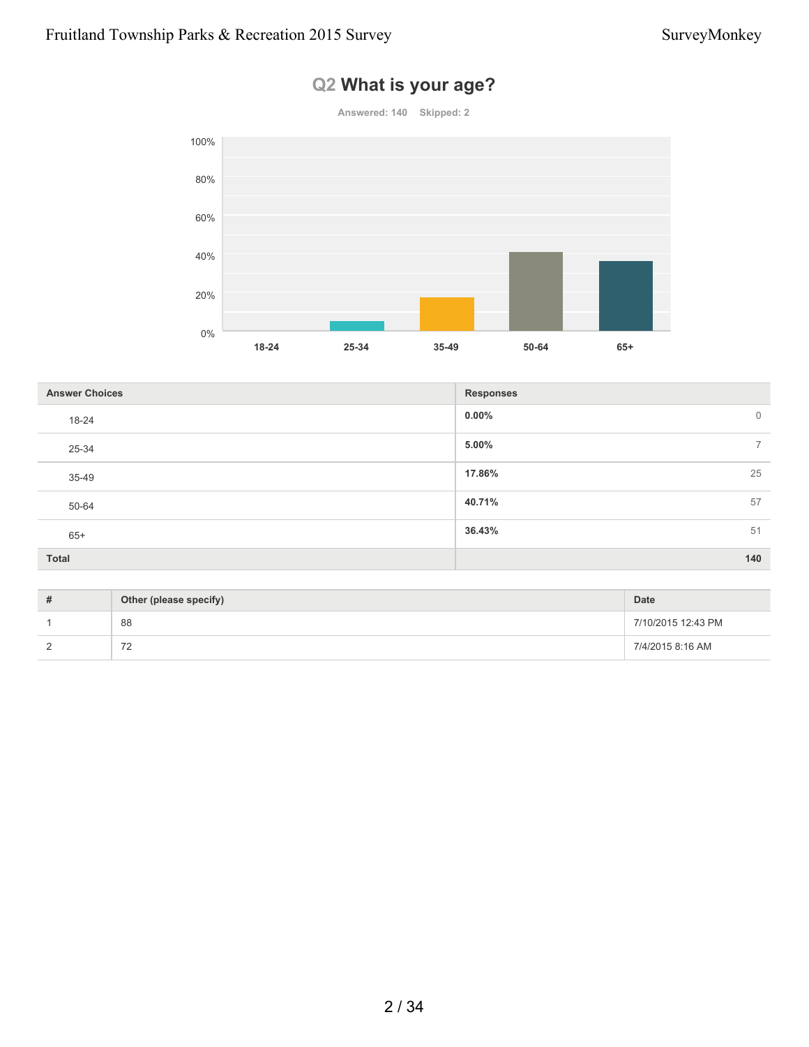# **Answered: 140 Skipped: 2 18-24 25-34 35-49 50-64 65+** 0% 20% 40% 60% 80% 100%

# **Q2 What is your age?**

| <b>Answer Choices</b> | <b>Responses</b>        |
|-----------------------|-------------------------|
| 18-24                 | $0.00\%$<br>$\mathbf 0$ |
| 25-34                 | 5.00%<br>$\overline{ }$ |
| 35-49                 | 17.86%<br>25            |
| 50-64                 | 40.71%<br>57            |
| $65+$                 | 36.43%<br>51            |
| <b>Total</b>          | 140                     |

| Other (please specify)               | <b>Date</b>        |
|--------------------------------------|--------------------|
| 88                                   | 7/10/2015 12:43 PM |
| $\overline{\phantom{a}}$<br><u>_</u> | 7/4/2015 8:16 AM   |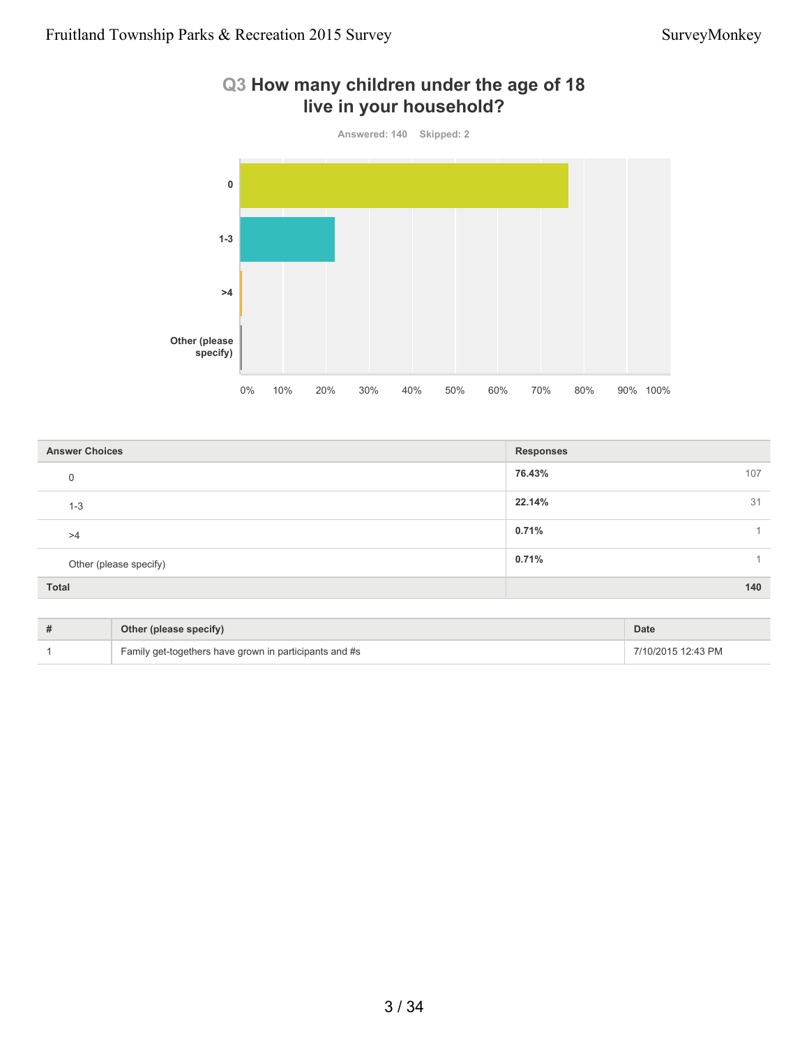## **Q3 How many children under the age of 18 live in your household?**



| <b>Answer Choices</b>  | <b>Responses</b> |  |
|------------------------|------------------|--|
| 0                      | 76.43%<br>107    |  |
| $1 - 3$                | 22.14%<br>31     |  |
| >4                     | 0.71%            |  |
| Other (please specify) | 0.71%            |  |
| Total                  | 140              |  |

| Other (please specify)                                 | <b>Date</b>        |
|--------------------------------------------------------|--------------------|
| Family get-togethers have grown in participants and #s | 7/10/2015 12:43 PM |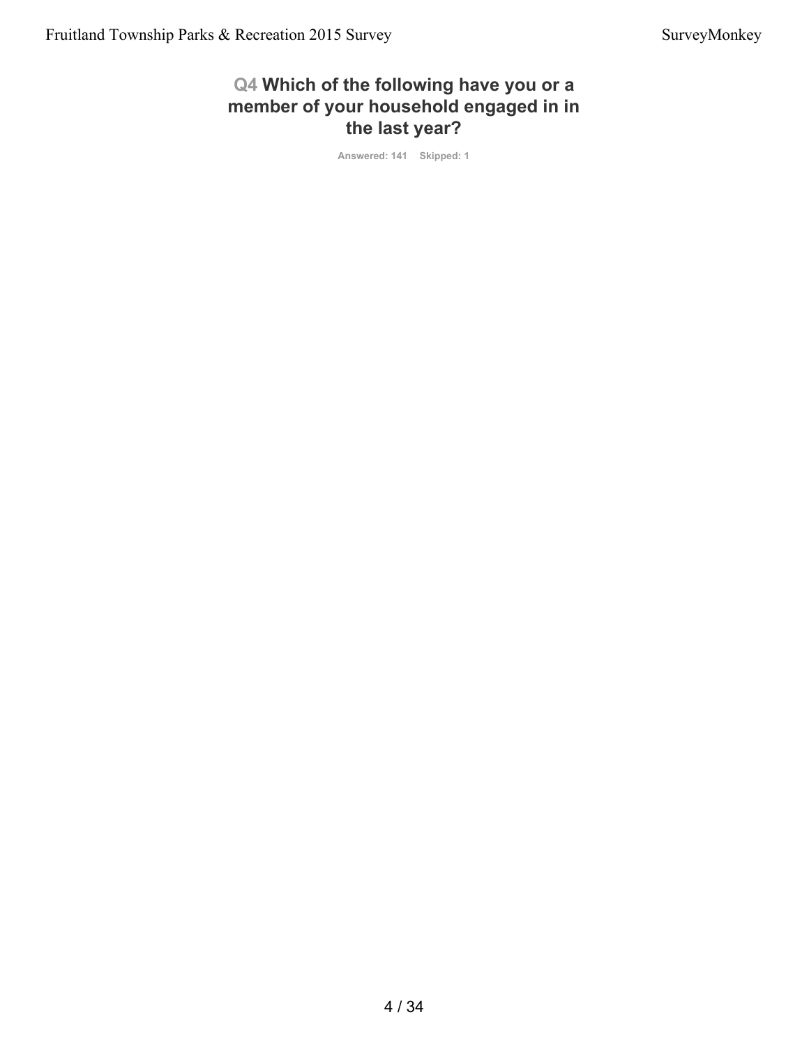### **Q4 Which of the following have you or a member of your household engaged in in the last year?**

**Answered: 141 Skipped: 1**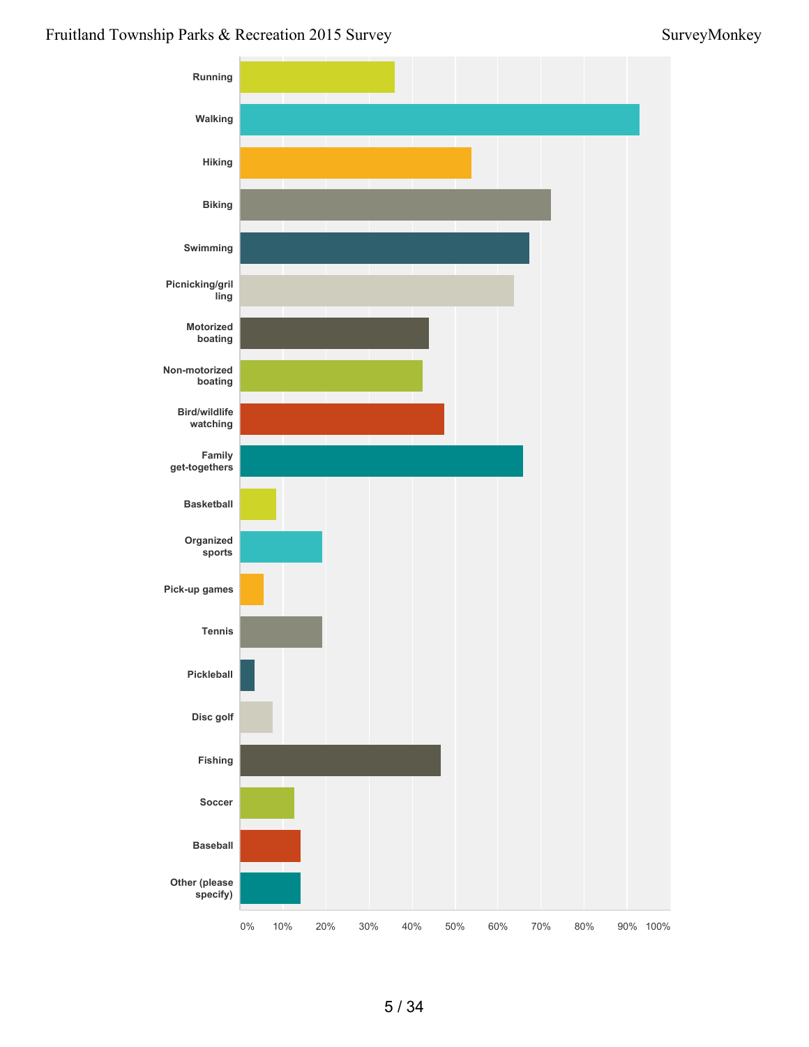### Fruitland Township Parks & Recreation 2015 Survey Survey Survey Survey Survey Survey Survey Survey Survey Survey

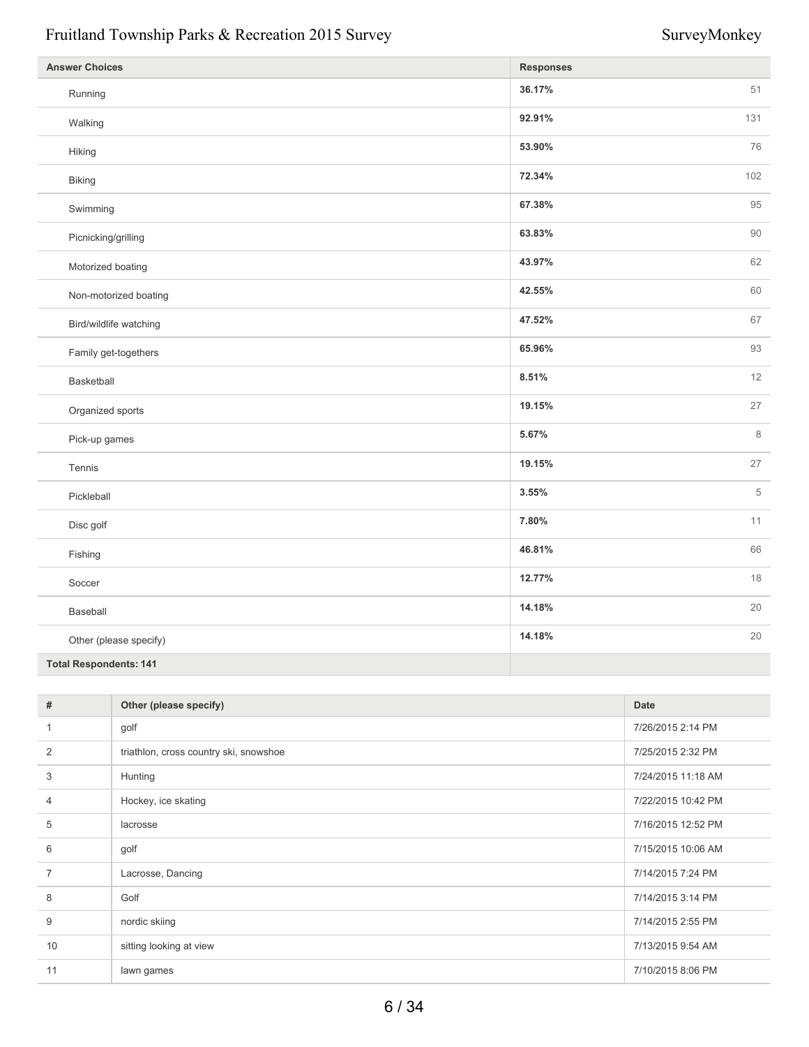| <b>Answer Choices</b>         | <b>Responses</b> |         |
|-------------------------------|------------------|---------|
| Running                       | 36.17%           | 51      |
| Walking                       | 92.91%           | 131     |
| Hiking                        | 53.90%           | 76      |
| Biking                        | 72.34%           | 102     |
| Swimming                      | 67.38%           | 95      |
| Picnicking/grilling           | 63.83%           | 90      |
| Motorized boating             | 43.97%           | 62      |
| Non-motorized boating         | 42.55%           | 60      |
| Bird/wildlife watching        | 47.52%           | 67      |
| Family get-togethers          | 65.96%           | 93      |
| Basketball                    | 8.51%            | 12      |
| Organized sports              | 19.15%           | 27      |
| Pick-up games                 | 5.67%            | $\,8\,$ |
| Tennis                        | 19.15%           | 27      |
| Pickleball                    | 3.55%            | 5       |
| Disc golf                     | 7.80%            | 11      |
| Fishing                       | 46.81%           | 66      |
| Soccer                        | 12.77%           | 18      |
| Baseball                      | 14.18%           | 20      |
| Other (please specify)        | 14.18%           | 20      |
| <b>Total Respondents: 141</b> |                  |         |

| #              | Other (please specify)                 | Date               |
|----------------|----------------------------------------|--------------------|
| 1              | golf                                   | 7/26/2015 2:14 PM  |
| 2              | triathlon, cross country ski, snowshoe | 7/25/2015 2:32 PM  |
| 3              | Hunting                                | 7/24/2015 11:18 AM |
| $\overline{4}$ | Hockey, ice skating                    | 7/22/2015 10:42 PM |
| 5              | lacrosse                               | 7/16/2015 12:52 PM |
| 6              | golf                                   | 7/15/2015 10:06 AM |
| $\overline{7}$ | Lacrosse, Dancing                      | 7/14/2015 7:24 PM  |
| 8              | Golf                                   | 7/14/2015 3:14 PM  |
| $9\,$          | nordic skiing                          | 7/14/2015 2:55 PM  |
| 10             | sitting looking at view                | 7/13/2015 9:54 AM  |
| 11             | lawn games                             | 7/10/2015 8:06 PM  |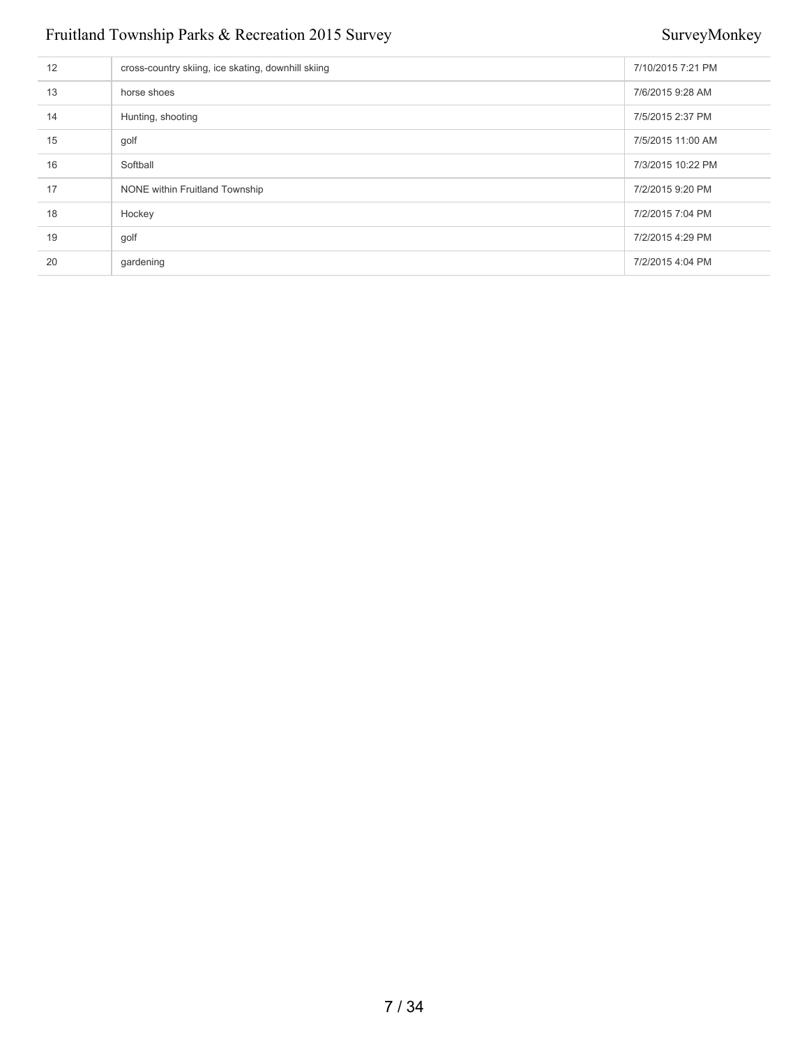| 12 | cross-country skiing, ice skating, downhill skiing | 7/10/2015 7:21 PM |
|----|----------------------------------------------------|-------------------|
| 13 | horse shoes                                        | 7/6/2015 9:28 AM  |
| 14 | Hunting, shooting                                  | 7/5/2015 2:37 PM  |
| 15 | golf                                               | 7/5/2015 11:00 AM |
| 16 | Softball                                           | 7/3/2015 10:22 PM |
| 17 | NONE within Fruitland Township                     | 7/2/2015 9:20 PM  |
| 18 | Hockey                                             | 7/2/2015 7:04 PM  |
| 19 | golf                                               | 7/2/2015 4:29 PM  |
| 20 | gardening                                          | 7/2/2015 4:04 PM  |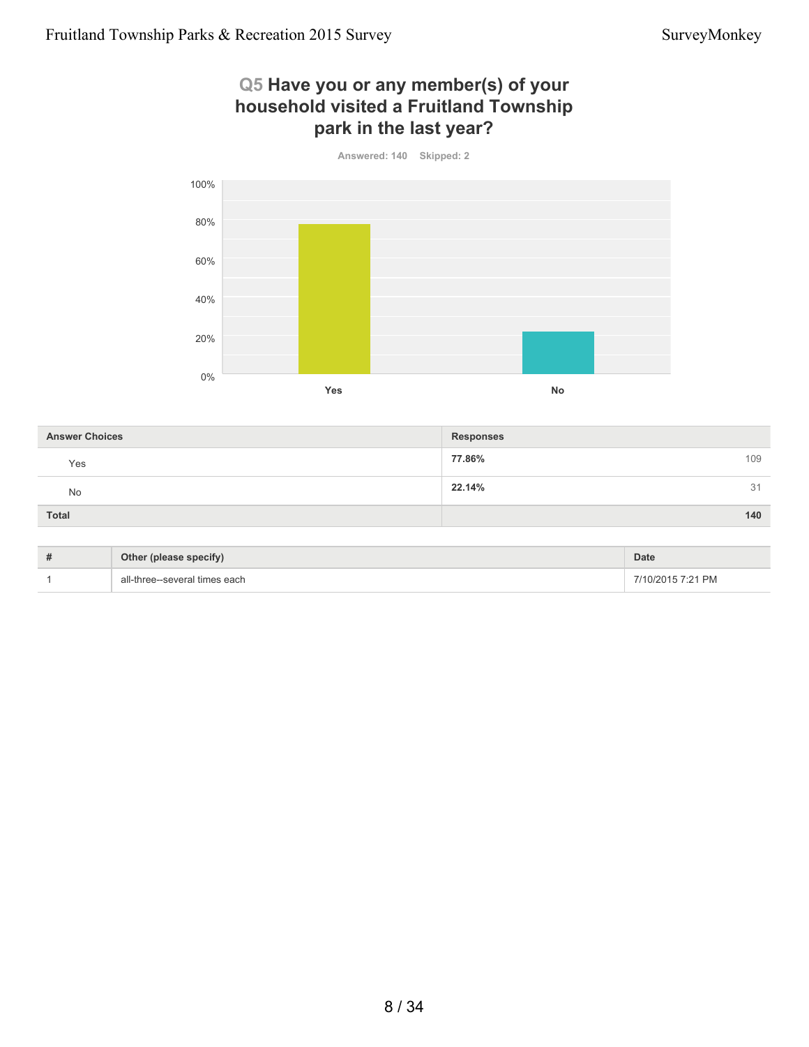### **Q5 Have you or any member(s) of your household visited a Fruitland Township park in the last year?**



| <b>Answer Choices</b> | <b>Responses</b> |
|-----------------------|------------------|
| Yes                   | 77.86%<br>109    |
| No                    | 22.14%<br>31     |
| <b>Total</b>          | 140              |

| # | Other (please specify)        | <b>Date</b>       |
|---|-------------------------------|-------------------|
|   | all-three--several times each | 7/10/2015 7:21 PM |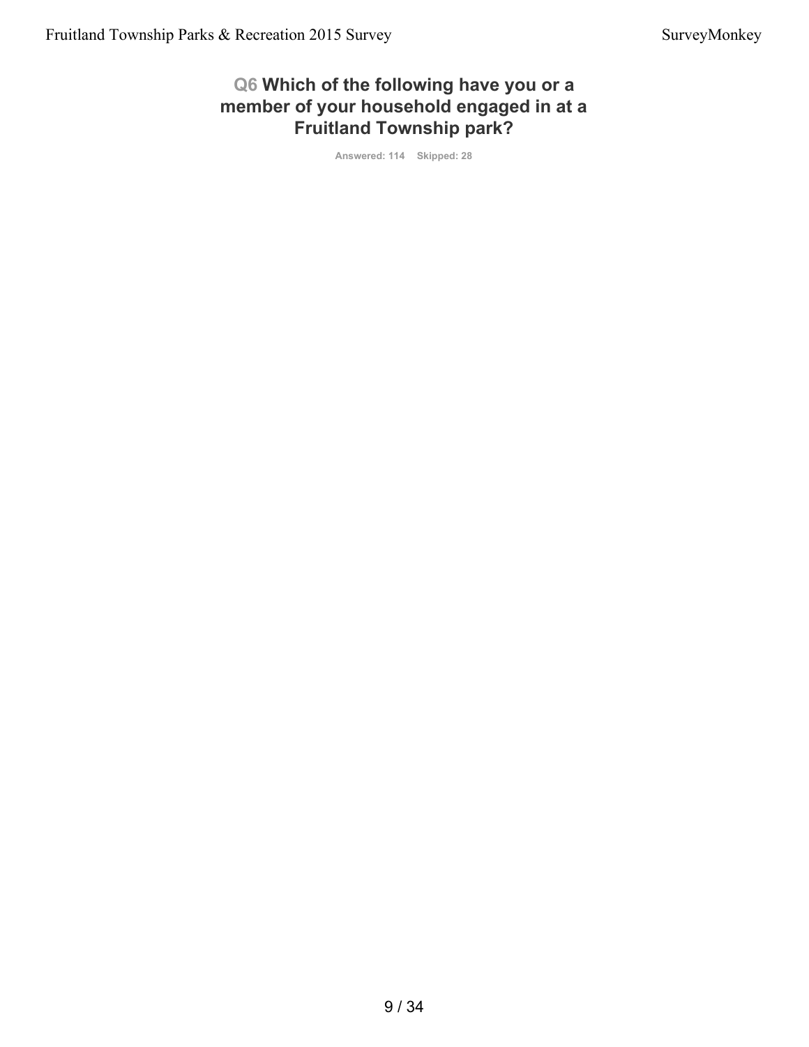### **Q6 Which of the following have you or a member of your household engaged in at a Fruitland Township park?**

**Answered: 114 Skipped: 28**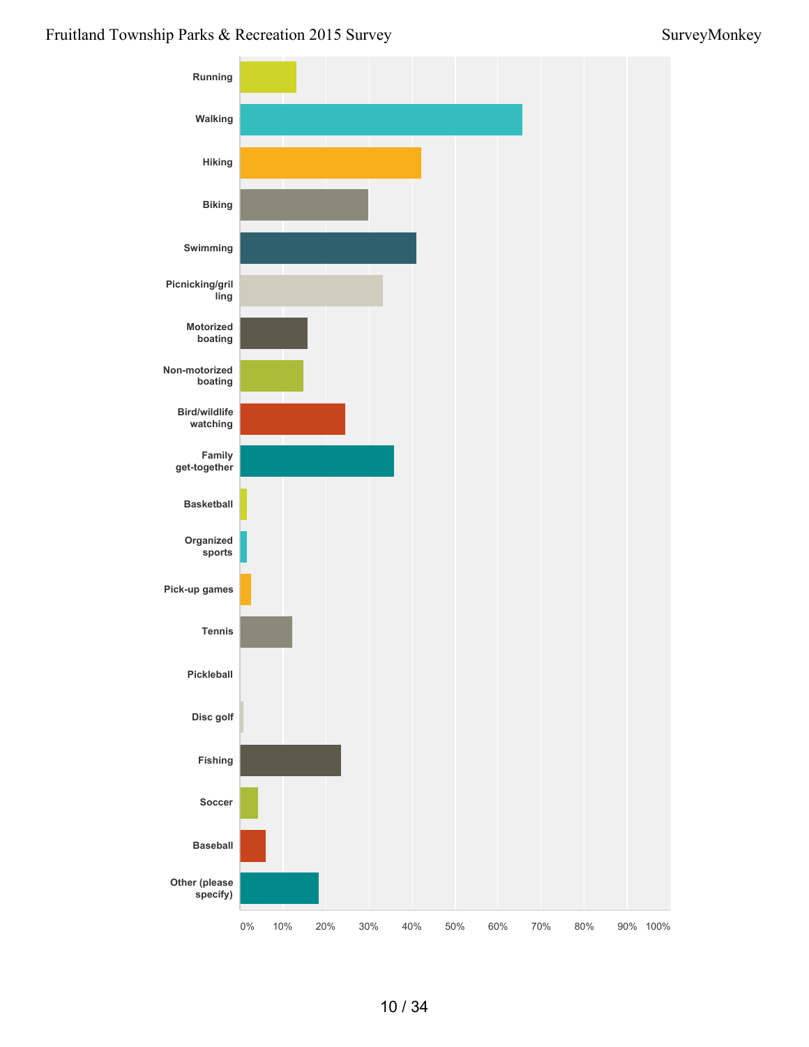### Fruitland Township Parks & Recreation 2015 Survey Survey Survey Survey Survey Survey Survey Survey Survey Survey

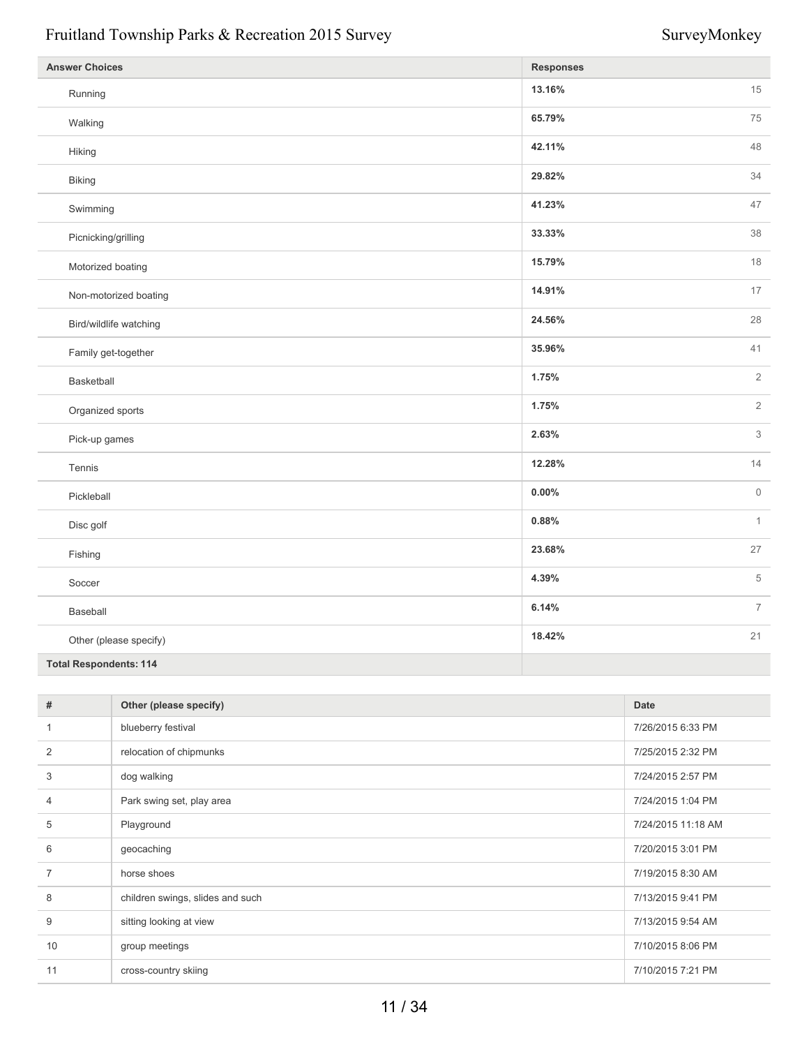| <b>Answer Choices</b>         | <b>Responses</b>         |
|-------------------------------|--------------------------|
| Running                       | 13.16%<br>15             |
| Walking                       | 65.79%<br>75             |
| Hiking                        | 42.11%<br>48             |
| Biking                        | 34<br>29.82%             |
| Swimming                      | 41.23%<br>47             |
| Picnicking/grilling           | 38<br>33.33%             |
| Motorized boating             | 15.79%<br>18             |
| Non-motorized boating         | 14.91%<br>$17$           |
| Bird/wildlife watching        | 24.56%<br>28             |
| Family get-together           | 41<br>35.96%             |
| Basketball                    | $\overline{2}$<br>1.75%  |
| Organized sports              | 1.75%<br>$\overline{2}$  |
| Pick-up games                 | $\mathfrak{Z}$<br>2.63%  |
| Tennis                        | 12.28%<br>14             |
| Pickleball                    | $\mathbf{0}$<br>$0.00\%$ |
| Disc golf                     | $\mathbf{1}$<br>0.88%    |
| Fishing                       | 27<br>23.68%             |
| Soccer                        | $\,$ 5 $\,$<br>4.39%     |
| Baseball                      | $\overline{7}$<br>6.14%  |
| Other (please specify)        | 21<br>18.42%             |
| <b>Total Respondents: 114</b> |                          |

| #              | Other (please specify)           | Date               |
|----------------|----------------------------------|--------------------|
| 1              | blueberry festival               | 7/26/2015 6:33 PM  |
| 2              | relocation of chipmunks          | 7/25/2015 2:32 PM  |
| 3              | dog walking                      | 7/24/2015 2:57 PM  |
| $\overline{4}$ | Park swing set, play area        | 7/24/2015 1:04 PM  |
| 5              | Playground                       | 7/24/2015 11:18 AM |
| 6              | geocaching                       | 7/20/2015 3:01 PM  |
| $\overline{7}$ | horse shoes                      | 7/19/2015 8:30 AM  |
| 8              | children swings, slides and such | 7/13/2015 9:41 PM  |
| 9              | sitting looking at view          | 7/13/2015 9:54 AM  |
| 10             | group meetings                   | 7/10/2015 8:06 PM  |
| 11             | cross-country skiing             | 7/10/2015 7:21 PM  |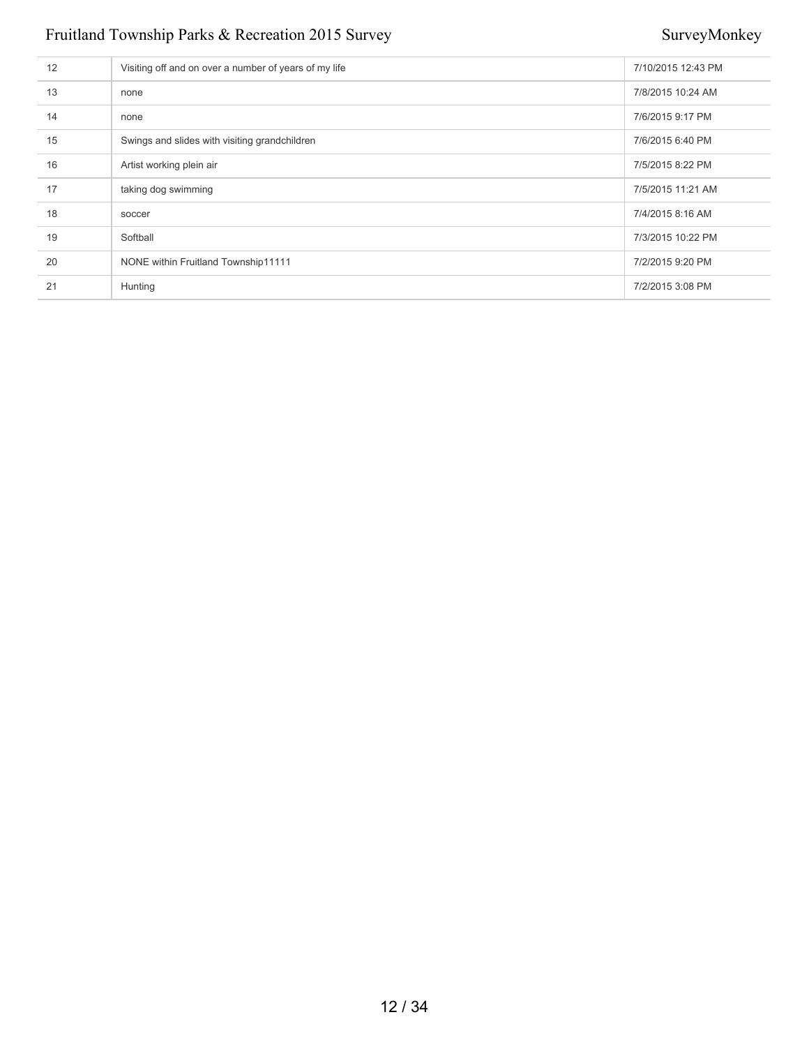| 12 | Visiting off and on over a number of years of my life | 7/10/2015 12:43 PM |
|----|-------------------------------------------------------|--------------------|
| 13 | none                                                  | 7/8/2015 10:24 AM  |
| 14 | none                                                  | 7/6/2015 9:17 PM   |
| 15 | Swings and slides with visiting grandchildren         | 7/6/2015 6:40 PM   |
| 16 | Artist working plein air                              | 7/5/2015 8:22 PM   |
| 17 | taking dog swimming                                   | 7/5/2015 11:21 AM  |
| 18 | soccer                                                | 7/4/2015 8:16 AM   |
| 19 | Softball                                              | 7/3/2015 10:22 PM  |
| 20 | NONE within Fruitland Township11111                   | 7/2/2015 9:20 PM   |
| 21 | Hunting                                               | 7/2/2015 3:08 PM   |
|    |                                                       |                    |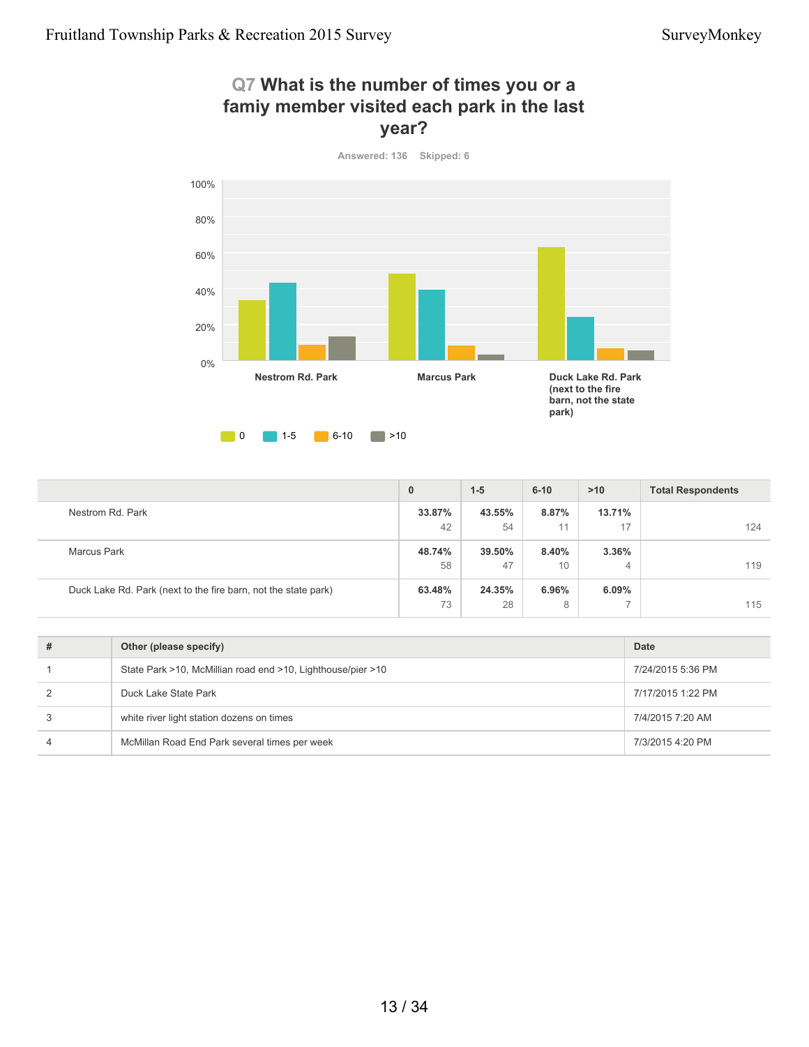



### **33.87%** 42 **43.55%** 54 **8.87%** 11 **13.71%** 17 124 **48.74%** 58 **39.50%** 47 **8.40%** 10 **3.36%** 4 119 **63.48%** 73 **24.35%** 28 **6.96%** 8 **6.09%** 7 115 **0 1-5 6-10 >10 Total Respondents** Nestrom Rd. Park Marcus Park Duck Lake Rd. Park (next to the fire barn, not the state park)

| # | Other (please specify)                                      | Date              |
|---|-------------------------------------------------------------|-------------------|
|   | State Park >10, McMillian road end >10, Lighthouse/pier >10 | 7/24/2015 5:36 PM |
|   | Duck Lake State Park                                        | 7/17/2015 1:22 PM |
| 3 | white river light station dozens on times                   | 7/4/2015 7:20 AM  |
| 4 | McMillan Road End Park several times per week               | 7/3/2015 4:20 PM  |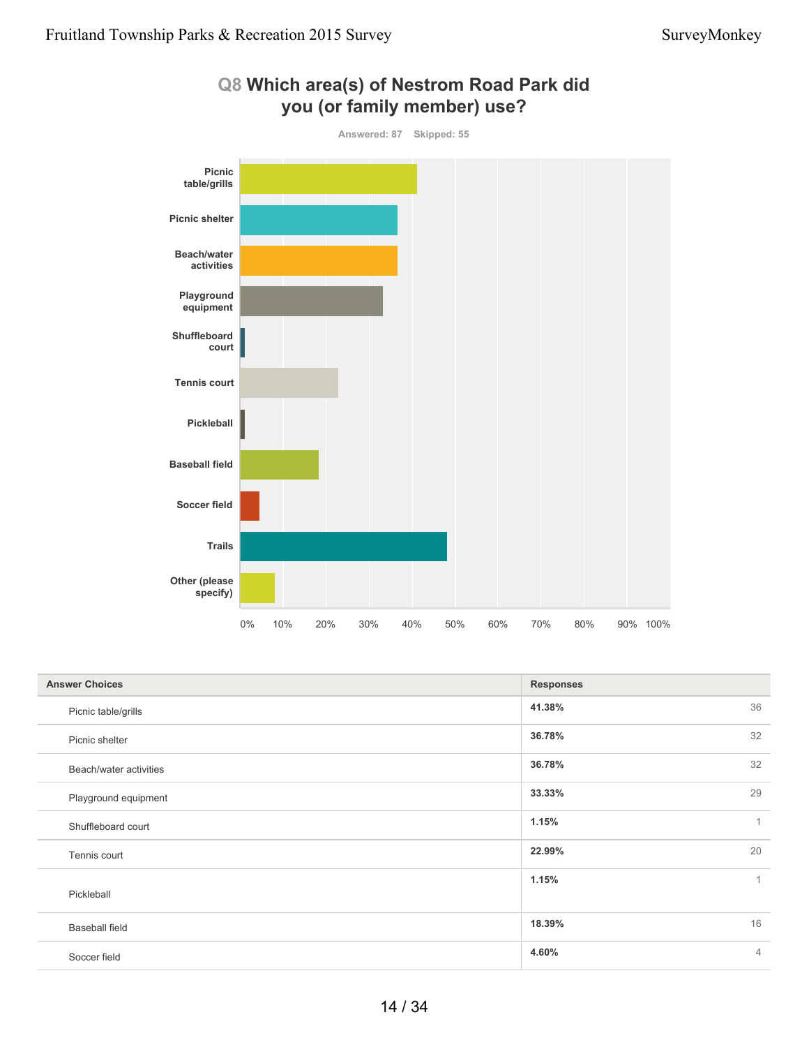

### **Q8 Which area(s) of Nestrom Road Park did you (or family member) use?**

| <b>Answer Choices</b>  | <b>Responses</b> |                |
|------------------------|------------------|----------------|
| Picnic table/grills    | 41.38%           | 36             |
| Picnic shelter         | 36.78%           | 32             |
| Beach/water activities | 36.78%           | 32             |
| Playground equipment   | 33.33%           | 29             |
| Shuffleboard court     | 1.15%            | $\mathbf{1}$   |
| Tennis court           | 22.99%           | 20             |
| Pickleball             | 1.15%            | $\mathbf{1}$   |
| <b>Baseball field</b>  | 18.39%           | 16             |
| Soccer field           | 4.60%            | $\overline{4}$ |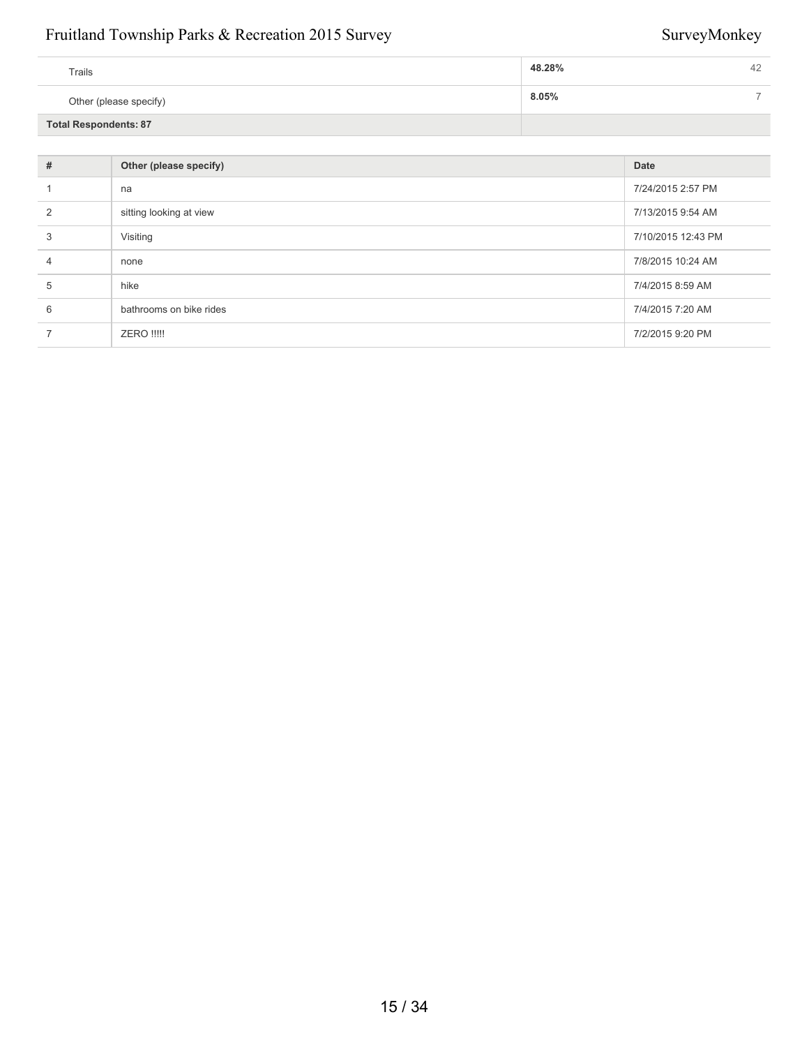| Trails                       | 48.28%<br>42 |
|------------------------------|--------------|
| Other (please specify)       | $8.05\%$     |
| <b>Total Respondents: 87</b> |              |

| #              | Other (please specify)  | Date               |
|----------------|-------------------------|--------------------|
|                | na                      | 7/24/2015 2:57 PM  |
| $\mathfrak{p}$ | sitting looking at view | 7/13/2015 9:54 AM  |
| 3              | Visiting                | 7/10/2015 12:43 PM |
| 4              | none                    | 7/8/2015 10:24 AM  |
| 5              | hike                    | 7/4/2015 8:59 AM   |
| 6              | bathrooms on bike rides | 7/4/2015 7:20 AM   |
|                | <b>ZERO !!!!!</b>       | 7/2/2015 9:20 PM   |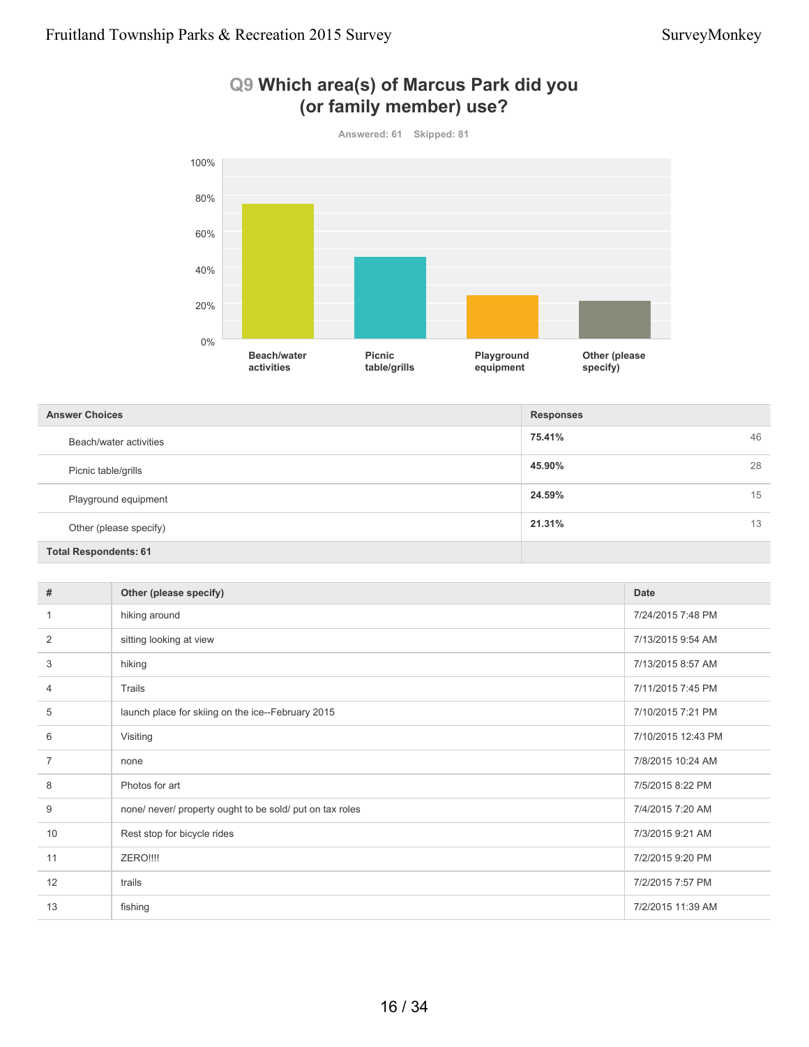

### **Q9 Which area(s) of Marcus Park did you (or family member) use?**

| <b>Answer Choices</b>        | <b>Responses</b> |    |
|------------------------------|------------------|----|
| Beach/water activities       | 75.41%           | 46 |
| Picnic table/grills          | 45.90%           | 28 |
| Playground equipment         | 24.59%           | 15 |
| Other (please specify)       | 21.31%           | 13 |
| <b>Total Respondents: 61</b> |                  |    |

| #  | Other (please specify)                                   | <b>Date</b>        |
|----|----------------------------------------------------------|--------------------|
| 1  | hiking around                                            | 7/24/2015 7:48 PM  |
| 2  | sitting looking at view                                  | 7/13/2015 9:54 AM  |
| 3  | hiking                                                   | 7/13/2015 8:57 AM  |
| 4  | Trails                                                   | 7/11/2015 7:45 PM  |
| 5  | launch place for skiing on the ice--February 2015        | 7/10/2015 7:21 PM  |
| 6  | Visiting                                                 | 7/10/2015 12:43 PM |
| 7  | none                                                     | 7/8/2015 10:24 AM  |
| 8  | Photos for art                                           | 7/5/2015 8:22 PM   |
| 9  | none/ never/ property ought to be sold/ put on tax roles | 7/4/2015 7:20 AM   |
| 10 | Rest stop for bicycle rides                              | 7/3/2015 9:21 AM   |
| 11 | ZERO!!!!                                                 | 7/2/2015 9:20 PM   |
| 12 | trails                                                   | 7/2/2015 7:57 PM   |
| 13 | fishing                                                  | 7/2/2015 11:39 AM  |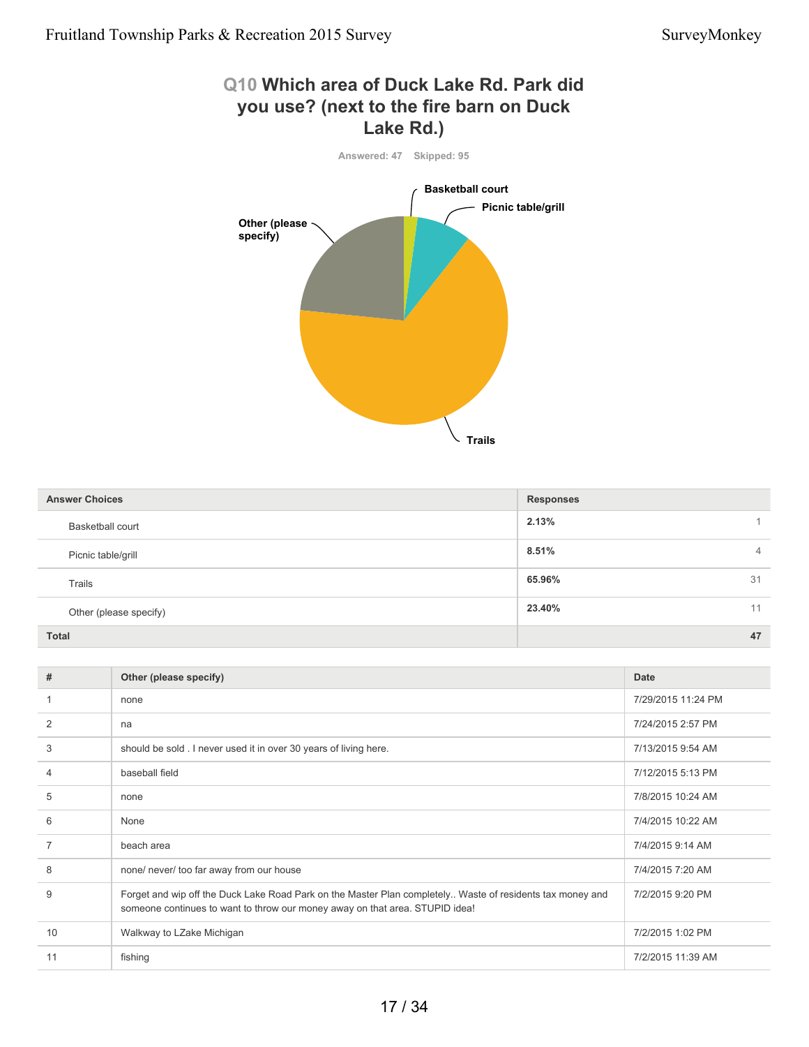# **Q10 Which area of Duck Lake Rd. Park did you use? (next to the fire barn on Duck Lake Rd.) Answered: 47 Skipped: 95**



| <b>Answer Choices</b>   | <b>Responses</b>        |
|-------------------------|-------------------------|
| <b>Basketball court</b> | 2.13%                   |
| Picnic table/grill      | 8.51%<br>$\overline{4}$ |
| Trails                  | 65.96%<br>31            |
| Other (please specify)  | 23.40%<br>11            |
| <b>Total</b>            | 47                      |

| #  | Other (please specify)                                                                                                                                                                    | Date               |
|----|-------------------------------------------------------------------------------------------------------------------------------------------------------------------------------------------|--------------------|
|    | none                                                                                                                                                                                      | 7/29/2015 11:24 PM |
| 2  | na                                                                                                                                                                                        | 7/24/2015 2:57 PM  |
| 3  | should be sold. I never used it in over 30 years of living here.                                                                                                                          | 7/13/2015 9:54 AM  |
| 4  | baseball field                                                                                                                                                                            | 7/12/2015 5:13 PM  |
| 5  | none                                                                                                                                                                                      | 7/8/2015 10:24 AM  |
| 6  | None                                                                                                                                                                                      | 7/4/2015 10:22 AM  |
| 7  | beach area                                                                                                                                                                                | 7/4/2015 9:14 AM   |
| 8  | none/ never/ too far away from our house                                                                                                                                                  | 7/4/2015 7:20 AM   |
| 9  | Forget and wip off the Duck Lake Road Park on the Master Plan completely Waste of residents tax money and<br>someone continues to want to throw our money away on that area. STUPID idea! | 7/2/2015 9:20 PM   |
| 10 | Walkway to LZake Michigan                                                                                                                                                                 | 7/2/2015 1:02 PM   |
| 11 | fishing                                                                                                                                                                                   | 7/2/2015 11:39 AM  |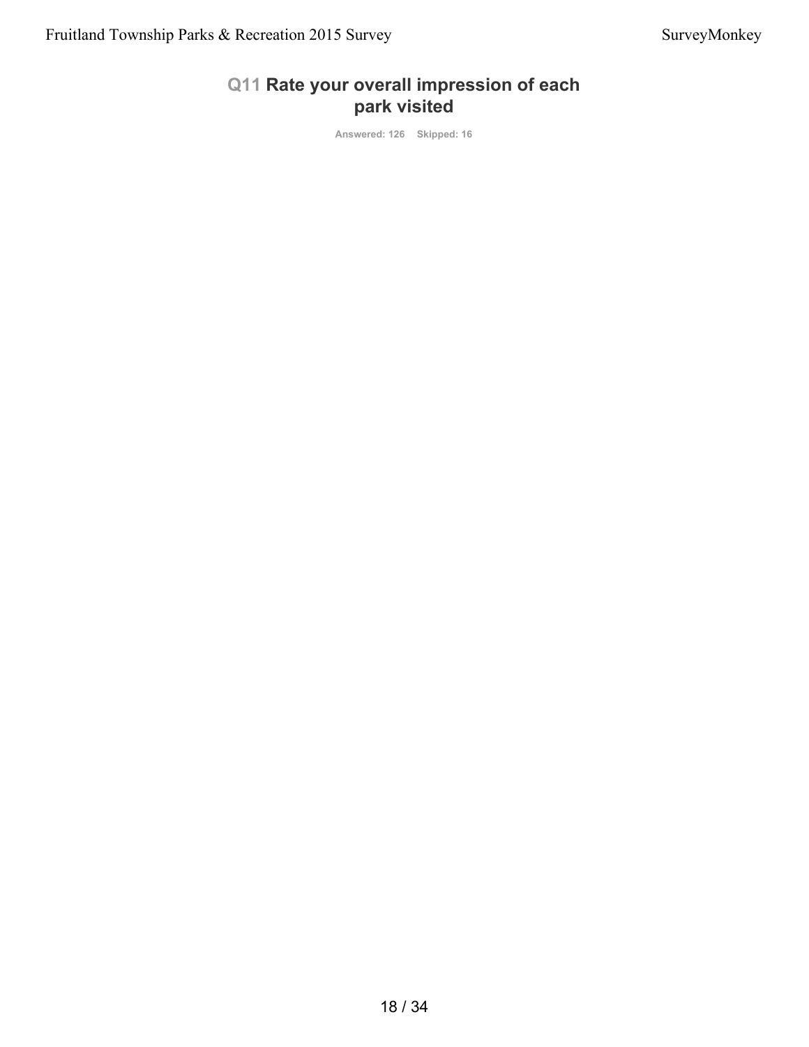### **Q11 Rate your overall impression of each park visited**

**Answered: 126 Skipped: 16**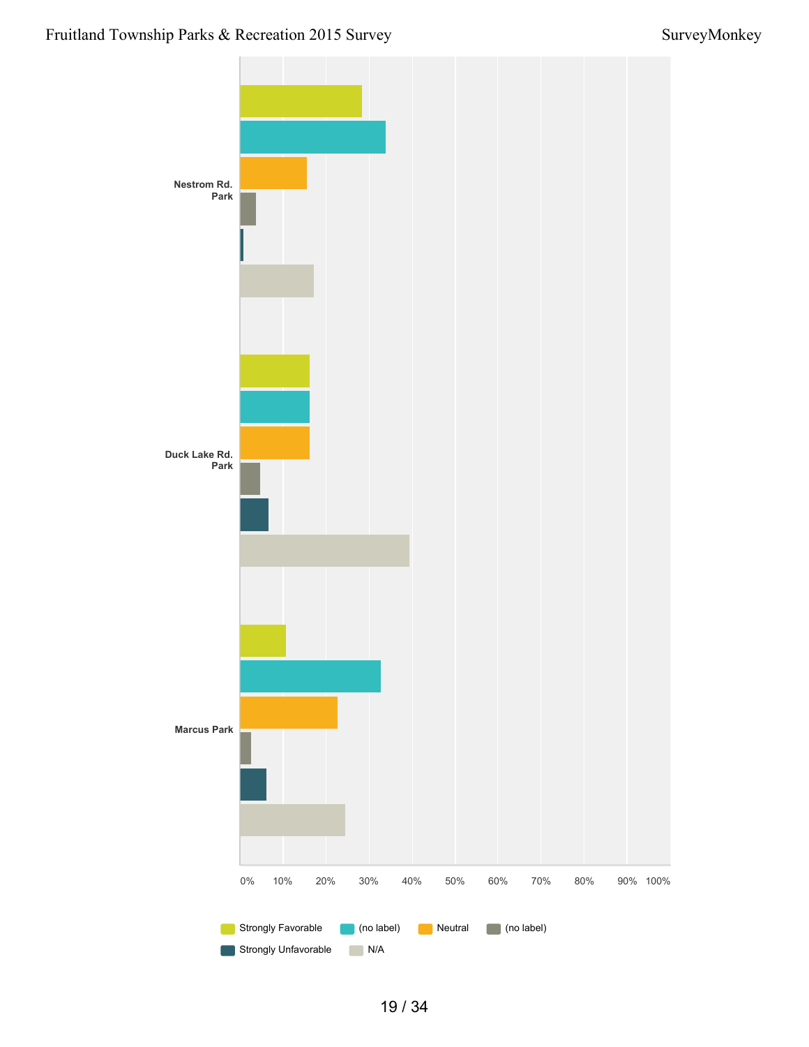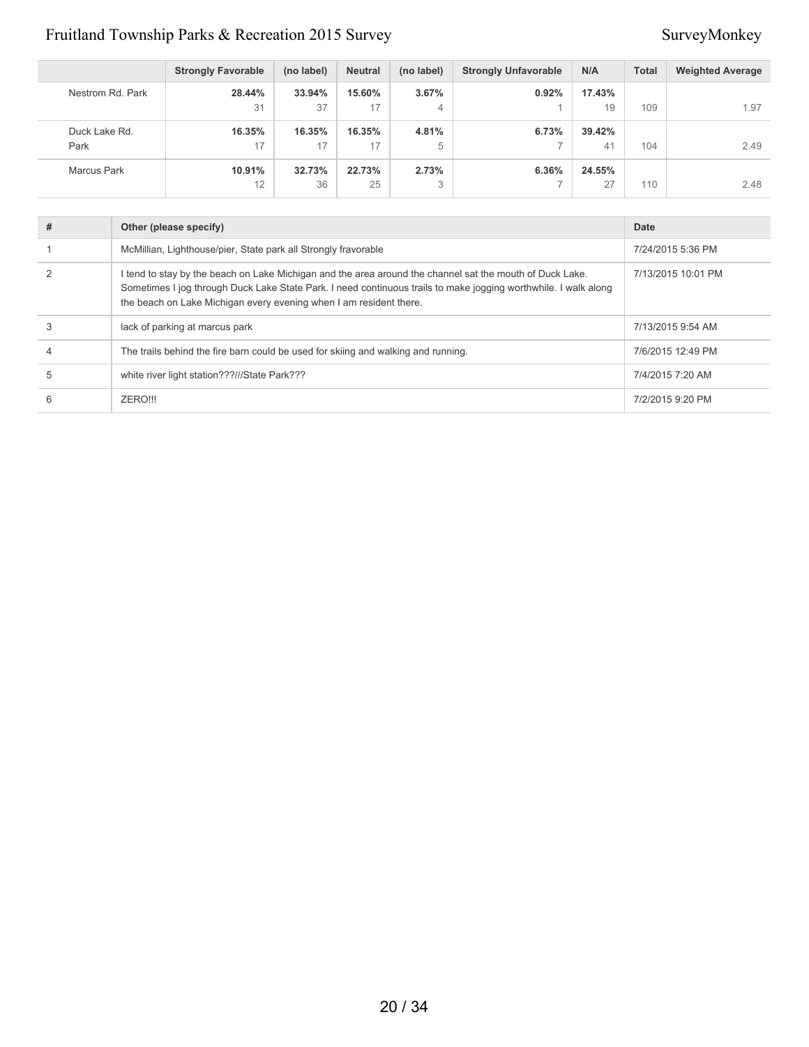|                       | <b>Strongly Favorable</b> | (no label)   | <b>Neutral</b> | (no label) | <b>Strongly Unfavorable</b> | N/A          | <b>Total</b> | <b>Weighted Average</b> |
|-----------------------|---------------------------|--------------|----------------|------------|-----------------------------|--------------|--------------|-------------------------|
| Nestrom Rd. Park      | 28.44%<br>31              | 33.94%<br>37 | 15.60%<br>17   | 3.67%<br>4 | 0.92%                       | 17.43%<br>19 | 109          | 1.97                    |
| Duck Lake Rd.<br>Park | 16.35%<br>17              | 16.35%<br>17 | 16.35%<br>17   | 4.81%<br>5 | 6.73%                       | 39.42%<br>41 | 104          | 2.49                    |
| Marcus Park           | 10.91%<br>12              | 32.73%<br>36 | 22.73%<br>25   | 2.73%<br>3 | 6.36%                       | 24.55%<br>27 | 110          | 2.48                    |

| # | Other (please specify)                                                                                                                                                                                                                                                                            | Date               |
|---|---------------------------------------------------------------------------------------------------------------------------------------------------------------------------------------------------------------------------------------------------------------------------------------------------|--------------------|
|   | McMillian, Lighthouse/pier, State park all Strongly fravorable                                                                                                                                                                                                                                    | 7/24/2015 5:36 PM  |
|   | I tend to stay by the beach on Lake Michigan and the area around the channel sat the mouth of Duck Lake.<br>Sometimes I jog through Duck Lake State Park. I need continuous trails to make jogging worthwhile. I walk along<br>the beach on Lake Michigan every evening when I am resident there. | 7/13/2015 10:01 PM |
| 3 | lack of parking at marcus park                                                                                                                                                                                                                                                                    | 7/13/2015 9:54 AM  |
| 4 | The trails behind the fire barn could be used for skiing and walking and running.                                                                                                                                                                                                                 | 7/6/2015 12:49 PM  |
| 5 | white river light station???///State Park???                                                                                                                                                                                                                                                      | 7/4/2015 7:20 AM   |
| 6 | ZERO!!!                                                                                                                                                                                                                                                                                           | 7/2/2015 9:20 PM   |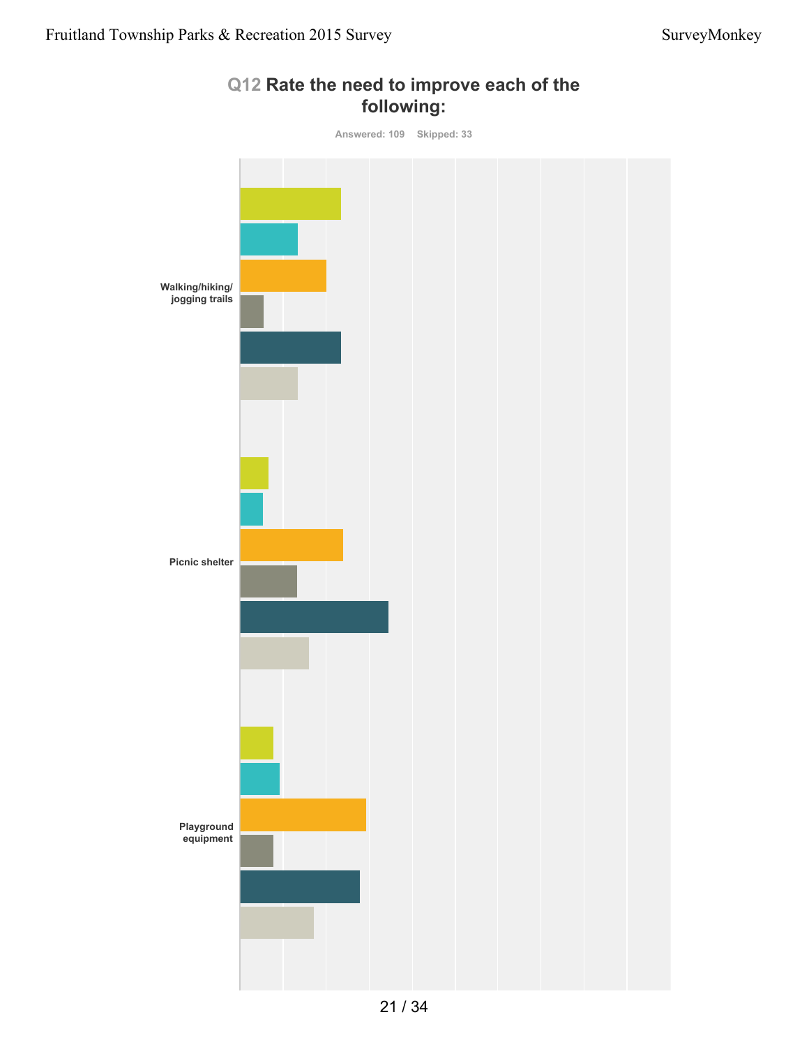

### **Q12 Rate the need to improve each of the following:**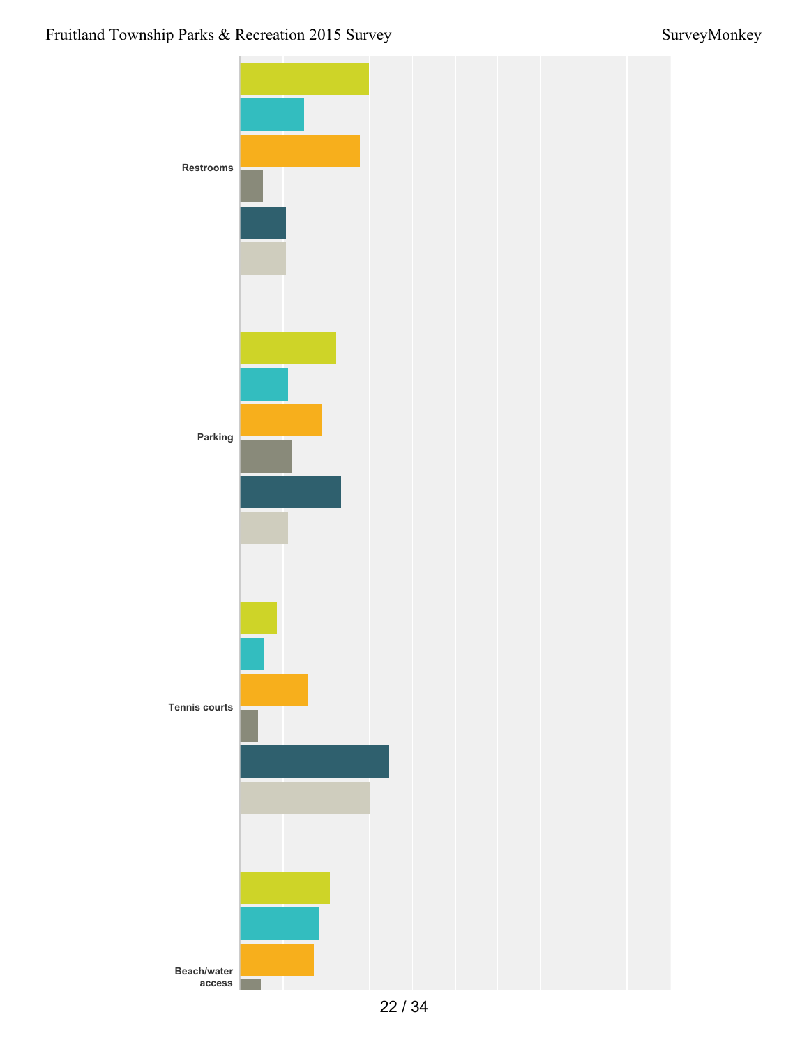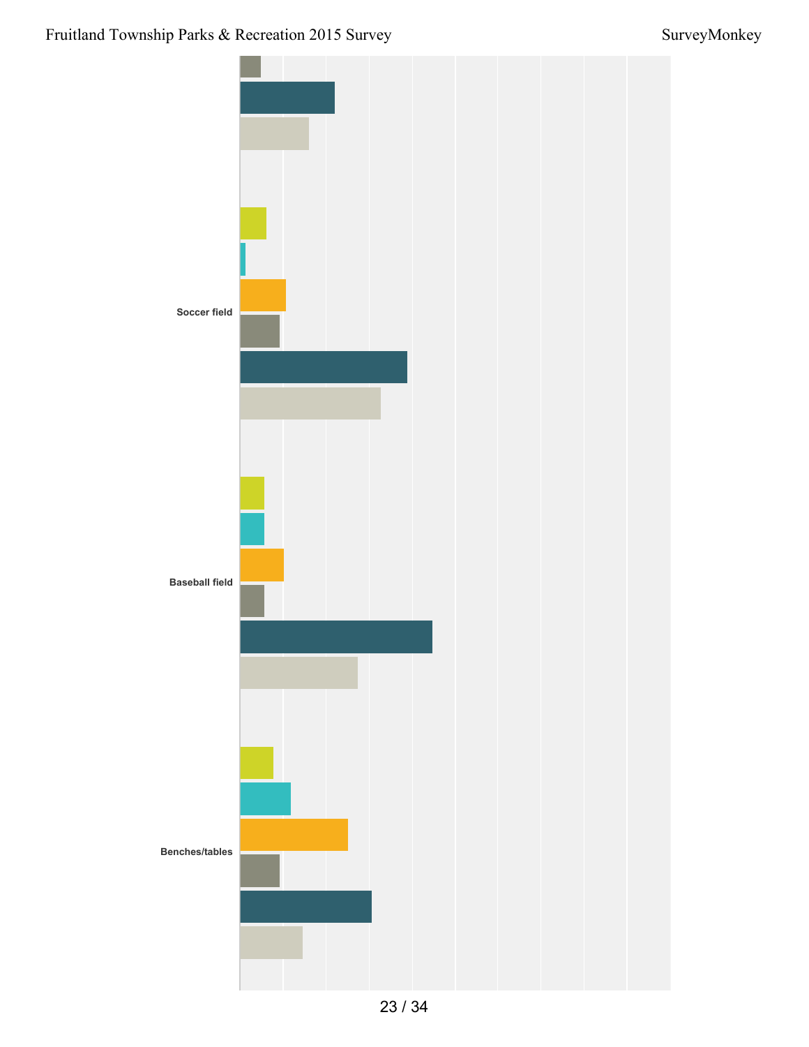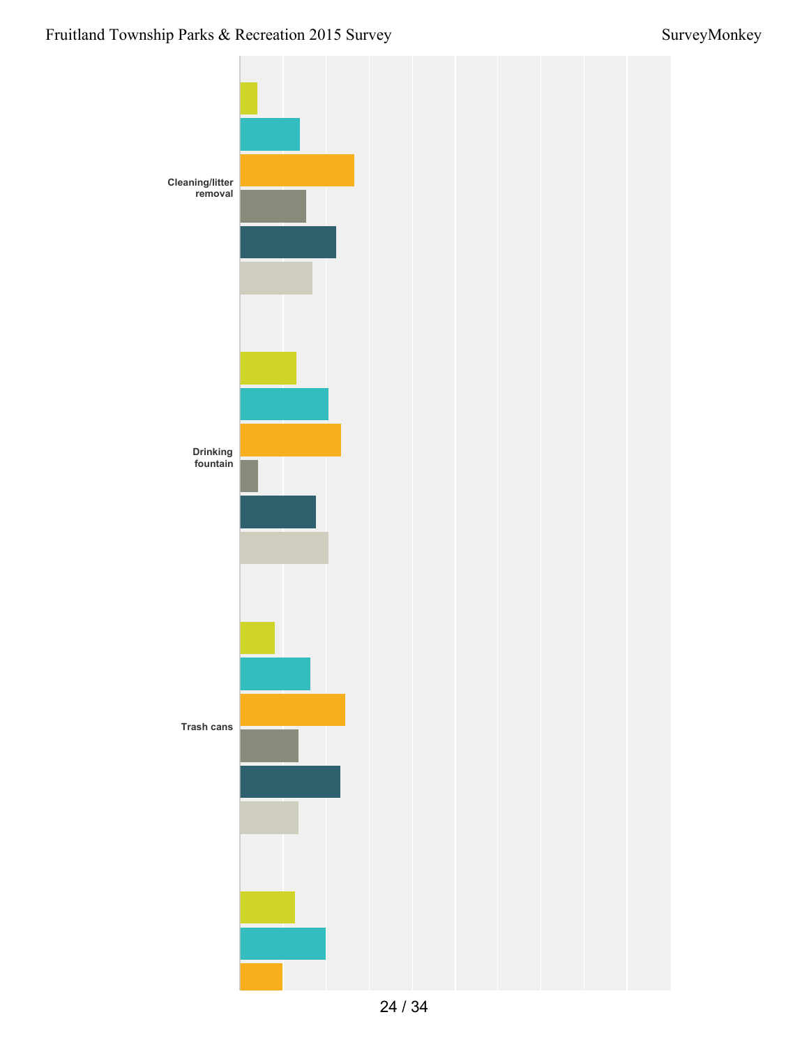### Fruitland Township Parks & Recreation 2015 Survey Survey Survey Survey Survey Survey Survey Survey Survey Survey

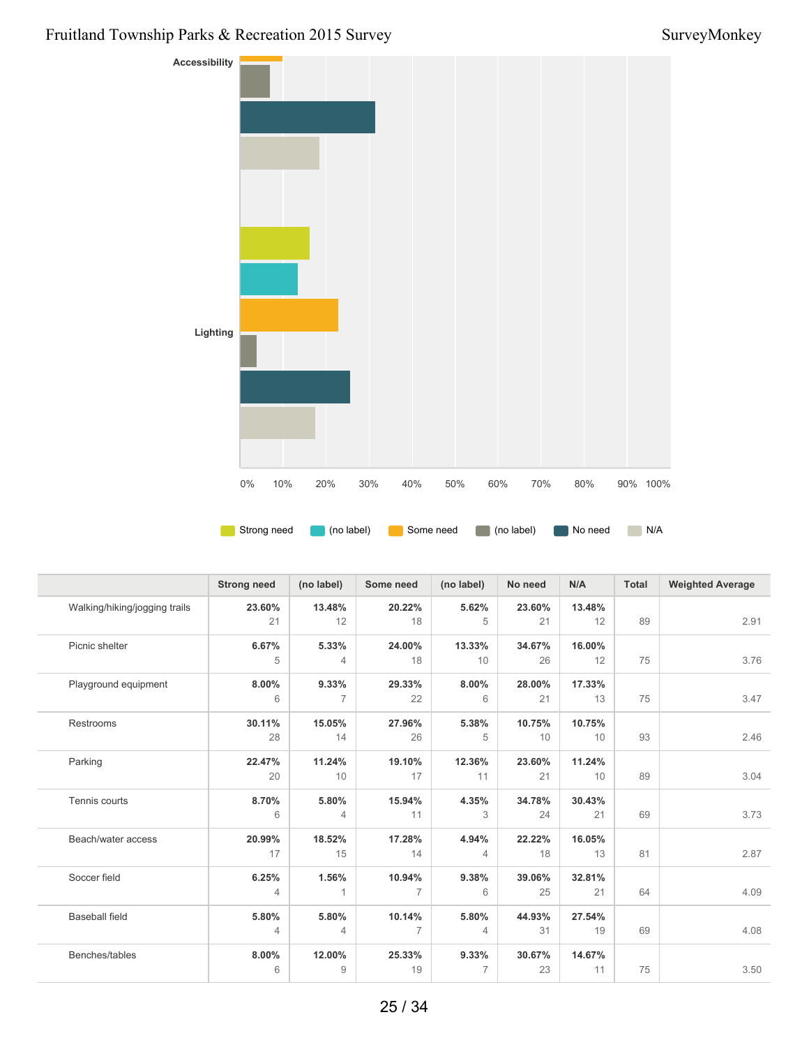### Fruitland Township Parks & Recreation 2015 Survey Survey Survey Survey Survey Survey Survey Survey Survey Survey



|                               | <b>Strong need</b> | (no label)     | Some need      | (no label)     | No need | N/A    | <b>Total</b> | <b>Weighted Average</b> |
|-------------------------------|--------------------|----------------|----------------|----------------|---------|--------|--------------|-------------------------|
| Walking/hiking/jogging trails | 23.60%             | 13.48%         | 20.22%         | 5.62%          | 23.60%  | 13.48% |              |                         |
|                               | 21                 | 12             | 18             | 5              | 21      | 12     | 89           | 2.91                    |
| Picnic shelter                | 6.67%              | 5.33%          | 24.00%         | 13.33%         | 34.67%  | 16.00% |              |                         |
|                               | 5                  | $\overline{4}$ | 18             | 10             | 26      | 12     | 75           | 3.76                    |
| Playground equipment          | 8.00%              | 9.33%          | 29.33%         | 8.00%          | 28.00%  | 17.33% |              |                         |
|                               | 6                  | $\overline{7}$ | 22             | 6              | 21      | 13     | 75           | 3.47                    |
| Restrooms                     | 30.11%             | 15.05%         | 27.96%         | 5.38%          | 10.75%  | 10.75% |              |                         |
|                               | 28                 | 14             | 26             | 5              | 10      | 10     | 93           | 2.46                    |
| Parking                       | 22.47%             | 11.24%         | 19.10%         | 12.36%         | 23.60%  | 11.24% |              |                         |
|                               | 20                 | 10             | 17             | 11             | 21      | 10     | 89           | 3.04                    |
| Tennis courts                 | 8.70%              | 5.80%          | 15.94%         | 4.35%          | 34.78%  | 30.43% |              |                         |
|                               | 6                  | $\overline{4}$ | 11             | 3              | 24      | 21     | 69           | 3.73                    |
| Beach/water access            | 20.99%             | 18.52%         | 17.28%         | 4.94%          | 22.22%  | 16.05% |              |                         |
|                               | 17                 | 15             | 14             | $\overline{4}$ | 18      | 13     | 81           | 2.87                    |
| Soccer field                  | 6.25%              | 1.56%          | 10.94%         | 9.38%          | 39.06%  | 32.81% |              |                         |
|                               | 4                  |                | $\overline{7}$ | 6              | 25      | 21     | 64           | 4.09                    |
| <b>Baseball field</b>         | 5.80%              | 5.80%          | 10.14%         | 5.80%          | 44.93%  | 27.54% |              |                         |
|                               | $\overline{4}$     | $\overline{4}$ | $\overline{7}$ | $\overline{4}$ | 31      | 19     | 69           | 4.08                    |
| Benches/tables                | 8.00%              | 12.00%         | 25.33%         | 9.33%          | 30.67%  | 14.67% |              |                         |
|                               | 6                  | 9              | 19             | $\overline{7}$ | 23      | 11     | 75           | 3.50                    |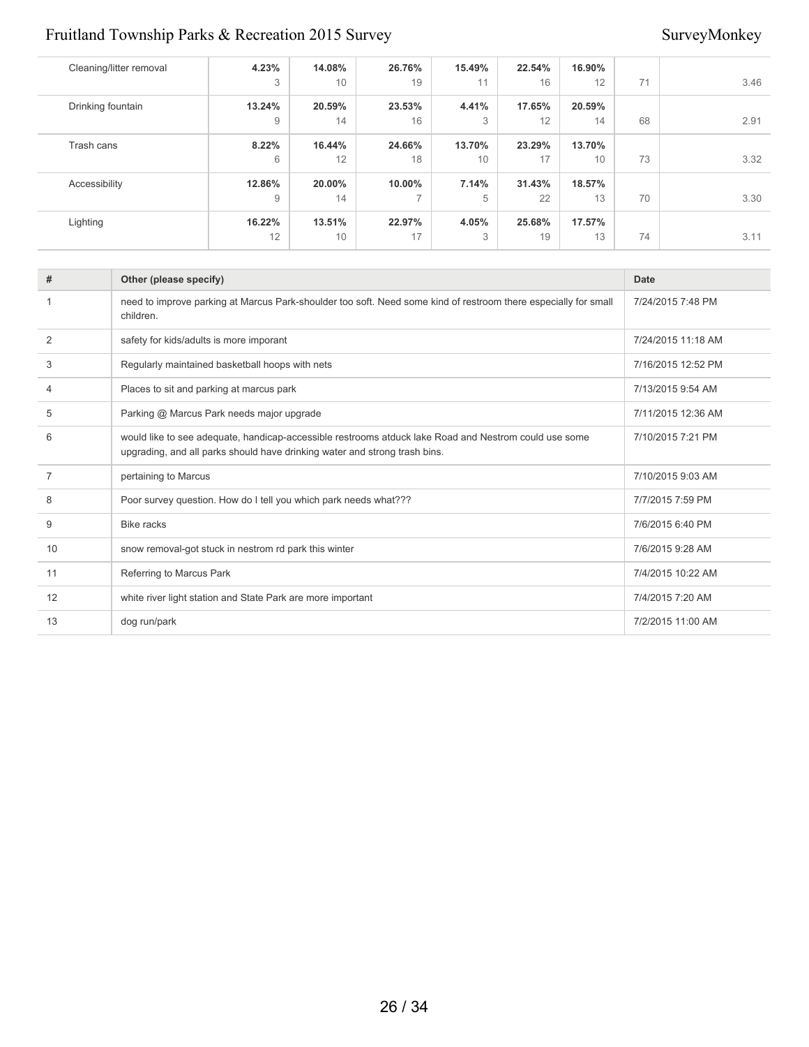| Cleaning/litter removal | 4.23%  | 14.08% | 26.76%         | 15.49% | 22.54% | 16.90% |    |      |
|-------------------------|--------|--------|----------------|--------|--------|--------|----|------|
|                         | 3      | 10     | 19             | 11     | 16     | 12     | 71 | 3.46 |
| Drinking fountain       | 13.24% | 20.59% | 23.53%         | 4.41%  | 17.65% | 20.59% |    |      |
|                         | 9      | 14     | 16             | 3      | 12     | 14     | 68 | 2.91 |
| Trash cans              | 8.22%  | 16.44% | 24.66%         | 13.70% | 23.29% | 13.70% |    |      |
|                         | 6      | 12     | 18             | 10     | 17     | 10     | 73 | 3.32 |
| Accessibility           | 12.86% | 20.00% | 10.00%         | 7.14%  | 31.43% | 18.57% |    |      |
|                         | 9      | 14     | $\overline{7}$ | 5      | 22     | 13     | 70 | 3.30 |
| Lighting                | 16.22% | 13.51% | 22.97%         | 4.05%  | 25.68% | 17.57% |    |      |
|                         | 12     | 10     | 17             | 3      | 19     | 13     | 74 | 3.11 |

| #              | Other (please specify)                                                                                                                                                              | <b>Date</b>        |
|----------------|-------------------------------------------------------------------------------------------------------------------------------------------------------------------------------------|--------------------|
|                | need to improve parking at Marcus Park-shoulder too soft. Need some kind of restroom there especially for small<br>children.                                                        | 7/24/2015 7:48 PM  |
| $\overline{2}$ | safety for kids/adults is more imporant                                                                                                                                             | 7/24/2015 11:18 AM |
| 3              | Regularly maintained basketball hoops with nets                                                                                                                                     | 7/16/2015 12:52 PM |
| 4              | Places to sit and parking at marcus park                                                                                                                                            | 7/13/2015 9:54 AM  |
| 5              | Parking @ Marcus Park needs major upgrade                                                                                                                                           | 7/11/2015 12:36 AM |
| 6              | would like to see adequate, handicap-accessible restrooms atduck lake Road and Nestrom could use some<br>upgrading, and all parks should have drinking water and strong trash bins. | 7/10/2015 7:21 PM  |
| 7              | pertaining to Marcus                                                                                                                                                                | 7/10/2015 9:03 AM  |
| 8              | Poor survey question. How do I tell you which park needs what???                                                                                                                    | 7/7/2015 7:59 PM   |
| 9              | <b>Bike racks</b>                                                                                                                                                                   | 7/6/2015 6:40 PM   |
| 10             | snow removal-got stuck in nestrom rd park this winter                                                                                                                               | 7/6/2015 9:28 AM   |
| 11             | Referring to Marcus Park                                                                                                                                                            | 7/4/2015 10:22 AM  |
| 12             | white river light station and State Park are more important                                                                                                                         | 7/4/2015 7:20 AM   |
| 13             | dog run/park                                                                                                                                                                        | 7/2/2015 11:00 AM  |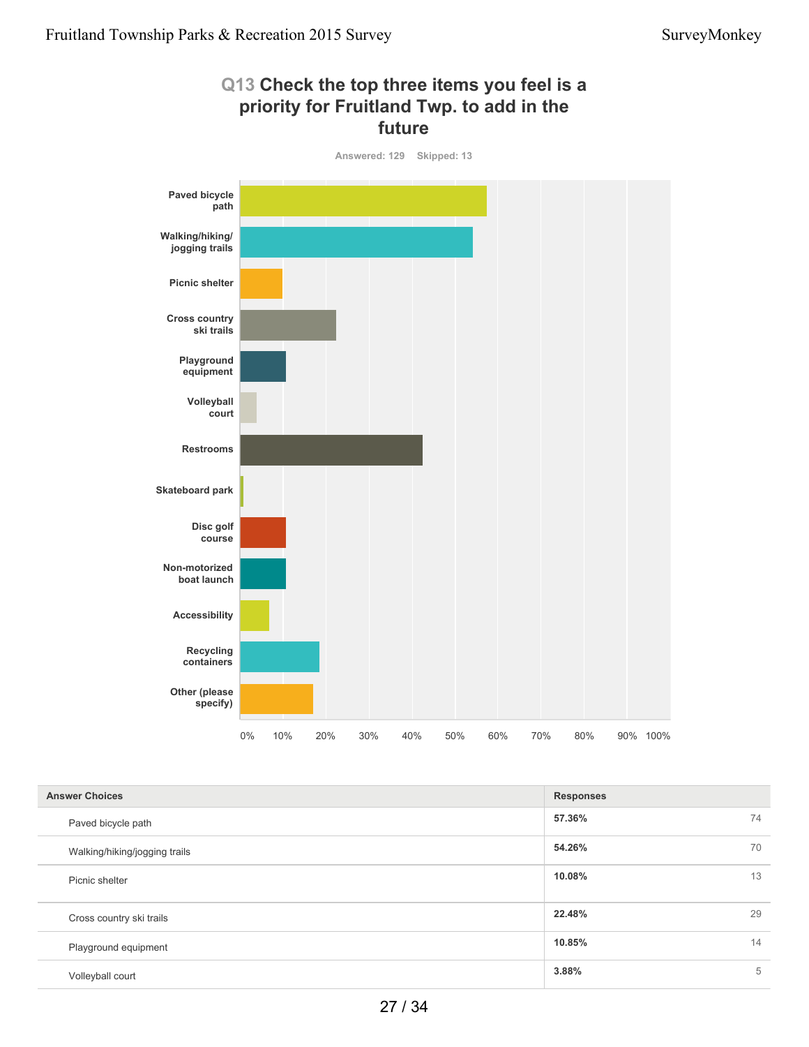

| <b>Answer Choices</b>         | <b>Responses</b> |    |
|-------------------------------|------------------|----|
| Paved bicycle path            | 57.36%           | 74 |
| Walking/hiking/jogging trails | 54.26%           | 70 |
| Picnic shelter                | 10.08%           | 13 |
| Cross country ski trails      | 22.48%           | 29 |
| Playground equipment          | 10.85%           | 14 |
| Volleyball court              | 3.88%            | 5  |

27 / 34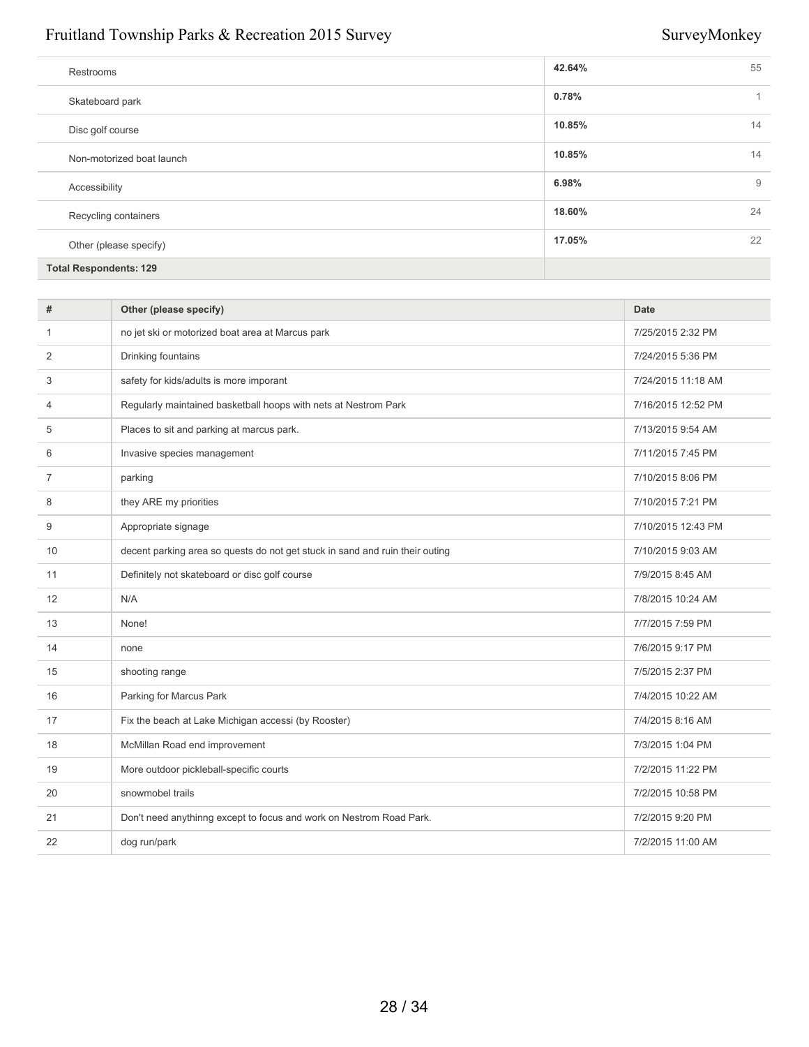| Restrooms                     | 42.64% | 55 |
|-------------------------------|--------|----|
| Skateboard park               | 0.78%  | 1  |
| Disc golf course              | 10.85% | 14 |
| Non-motorized boat launch     | 10.85% | 14 |
| Accessibility                 | 6.98%  | 9  |
| Recycling containers          | 18.60% | 24 |
| Other (please specify)        | 17.05% | 22 |
| <b>Total Respondents: 129</b> |        |    |

| #  | Other (please specify)                                                       | <b>Date</b>        |
|----|------------------------------------------------------------------------------|--------------------|
| 1  | no jet ski or motorized boat area at Marcus park                             | 7/25/2015 2:32 PM  |
| 2  | Drinking fountains                                                           | 7/24/2015 5:36 PM  |
| 3  | safety for kids/adults is more imporant                                      | 7/24/2015 11:18 AM |
| 4  | Regularly maintained basketball hoops with nets at Nestrom Park              | 7/16/2015 12:52 PM |
| 5  | Places to sit and parking at marcus park.                                    | 7/13/2015 9:54 AM  |
| 6  | Invasive species management                                                  | 7/11/2015 7:45 PM  |
| 7  | parking                                                                      | 7/10/2015 8:06 PM  |
| 8  | they ARE my priorities                                                       | 7/10/2015 7:21 PM  |
| 9  | Appropriate signage                                                          | 7/10/2015 12:43 PM |
| 10 | decent parking area so quests do not get stuck in sand and ruin their outing | 7/10/2015 9:03 AM  |
| 11 | Definitely not skateboard or disc golf course                                | 7/9/2015 8:45 AM   |
| 12 | N/A                                                                          | 7/8/2015 10:24 AM  |
| 13 | None!                                                                        | 7/7/2015 7:59 PM   |
| 14 | none                                                                         | 7/6/2015 9:17 PM   |
| 15 | shooting range                                                               | 7/5/2015 2:37 PM   |
| 16 | Parking for Marcus Park                                                      | 7/4/2015 10:22 AM  |
| 17 | Fix the beach at Lake Michigan accessi (by Rooster)                          | 7/4/2015 8:16 AM   |
| 18 | McMillan Road end improvement                                                | 7/3/2015 1:04 PM   |
| 19 | More outdoor pickleball-specific courts                                      | 7/2/2015 11:22 PM  |
| 20 | snowmobel trails                                                             | 7/2/2015 10:58 PM  |
| 21 | Don't need anythinng except to focus and work on Nestrom Road Park.          | 7/2/2015 9:20 PM   |
| 22 | dog run/park                                                                 | 7/2/2015 11:00 AM  |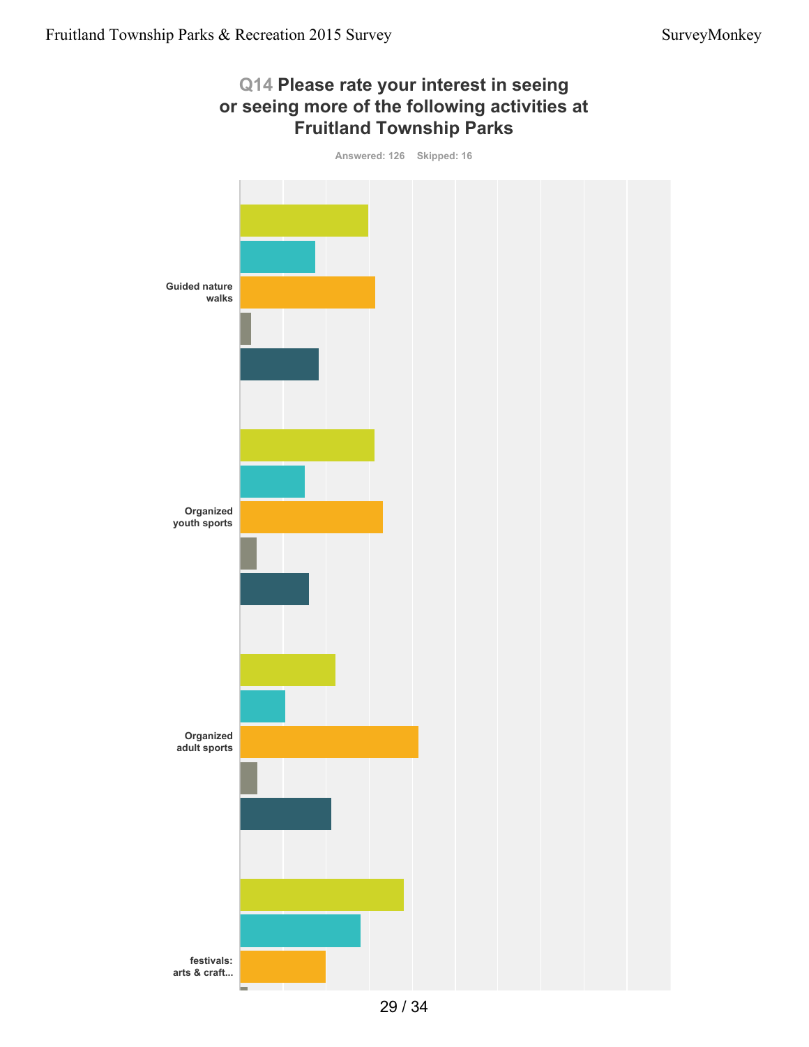

29 / 34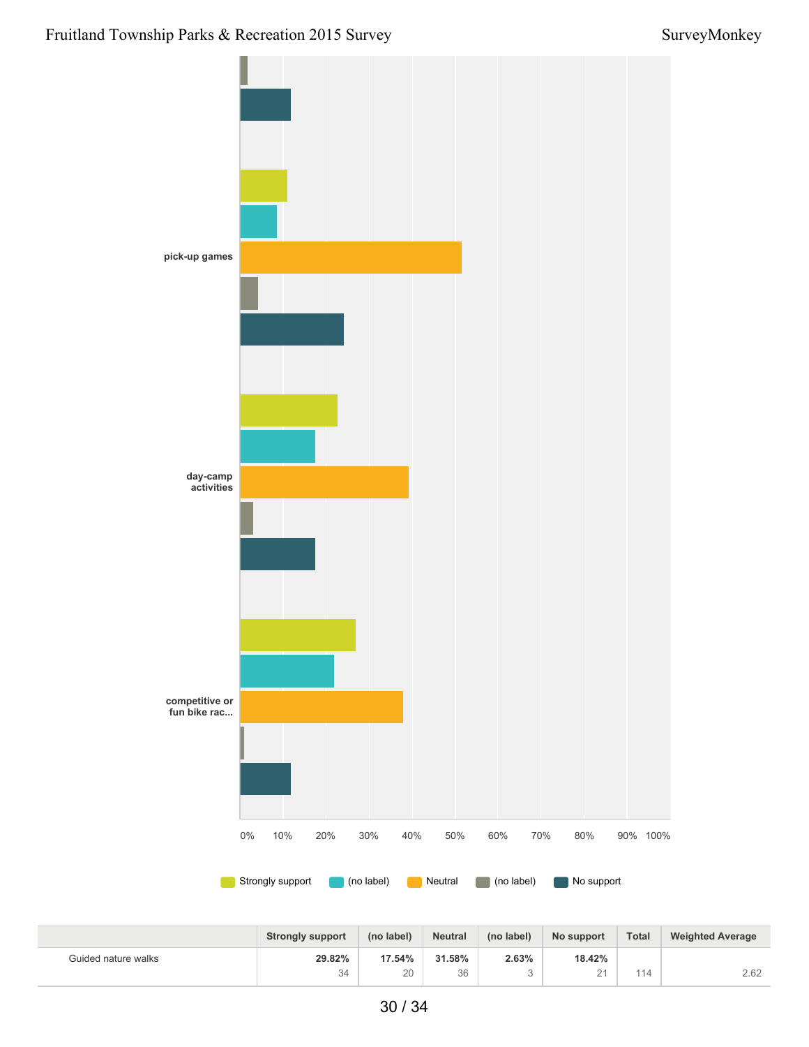

|                     | <b>Strongly support</b> | (no label) | <b>Neutral</b> | (no label) | No support                      | <b>Total</b> | <b>Weighted Average</b> |
|---------------------|-------------------------|------------|----------------|------------|---------------------------------|--------------|-------------------------|
| Guided nature walks | 29.82%                  | 17.54%     | 31.58%         | 2.63%      | 18.42%                          |              |                         |
|                     | 34                      | 20         | 36             |            | $\bigcap$ $\bigcap$<br><u>_</u> | 114          | 2.62                    |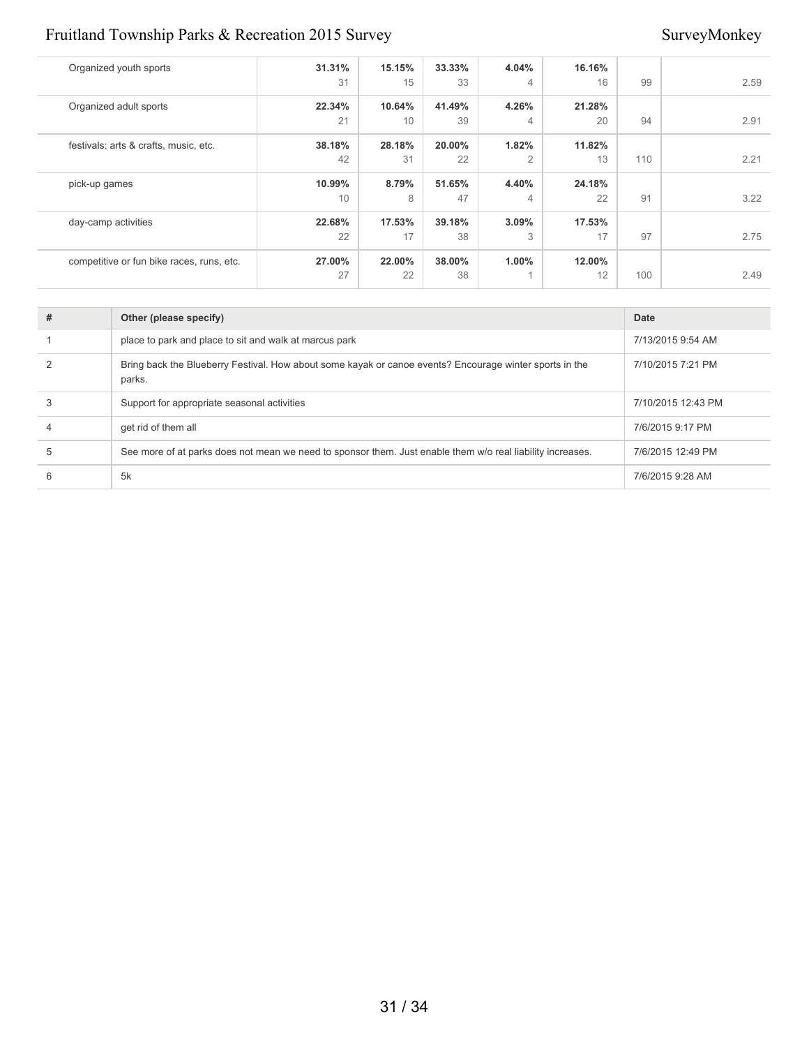| Organized youth sports                    | 31.31%<br>31 | 15.15%<br>15 | 33.33%<br>33 | 4.04%<br>$\overline{4}$    | 16.16%<br>16 | 99  | 2.59 |
|-------------------------------------------|--------------|--------------|--------------|----------------------------|--------------|-----|------|
| Organized adult sports                    | 22.34%<br>21 | 10.64%<br>10 | 41.49%<br>39 | 4.26%<br>4                 | 21.28%<br>20 | 94  | 2.91 |
| festivals: arts & crafts, music, etc.     | 38.18%<br>42 | 28.18%<br>31 | 20.00%<br>22 | 1.82%<br>$\overline{2}$    | 11.82%<br>13 | 110 | 2.21 |
| pick-up games                             | 10.99%<br>10 | 8.79%<br>8   | 51.65%<br>47 | 4.40%<br>4                 | 24.18%<br>22 | 91  | 3.22 |
| day-camp activities                       | 22.68%<br>22 | 17.53%<br>17 | 39.18%<br>38 | 3.09%<br>3                 | 17.53%<br>17 | 97  | 2.75 |
| competitive or fun bike races, runs, etc. | 27.00%<br>27 | 22.00%<br>22 | 38.00%<br>38 | $1.00\%$<br>$\overline{A}$ | 12.00%<br>12 | 100 | 2.49 |

| # | Other (please specify)                                                                                            | Date               |
|---|-------------------------------------------------------------------------------------------------------------------|--------------------|
|   | place to park and place to sit and walk at marcus park                                                            | 7/13/2015 9:54 AM  |
|   | Bring back the Blueberry Festival. How about some kayak or canoe events? Encourage winter sports in the<br>parks. | 7/10/2015 7:21 PM  |
|   | Support for appropriate seasonal activities                                                                       | 7/10/2015 12:43 PM |
|   | get rid of them all                                                                                               | 7/6/2015 9:17 PM   |
| 5 | See more of at parks does not mean we need to sponsor them. Just enable them w/o real liability increases.        | 7/6/2015 12:49 PM  |
|   | 5k                                                                                                                | 7/6/2015 9:28 AM   |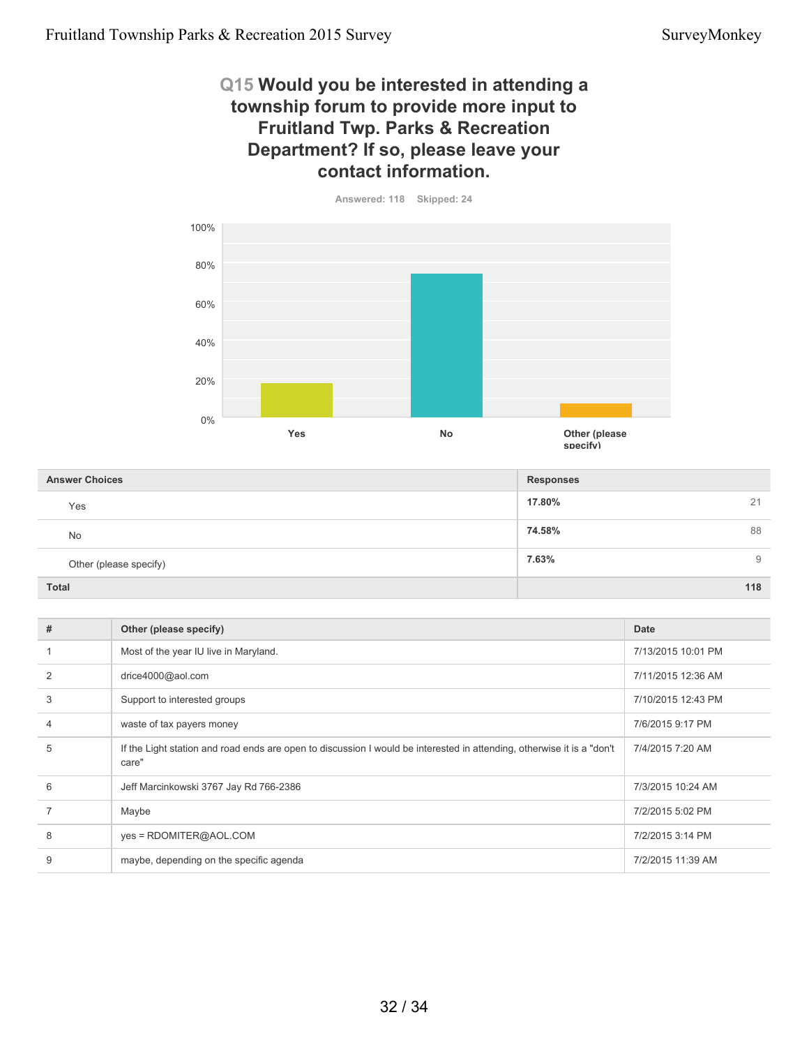### **Q15 Would you be interested in attending a township forum to provide more input to Fruitland Twp. Parks & Recreation Department? If so, please leave your contact information.**



| <b>Answer Choices</b>  | <b>Responses</b> |
|------------------------|------------------|
| Yes                    | 17.80%<br>21     |
| No                     | 74.58%<br>88     |
| Other (please specify) | 7.63%<br>9       |
| <b>Total</b>           | 118              |

| ≃ |
|---|
|---|

| # | Other (please specify)                                                                                                          | Date               |
|---|---------------------------------------------------------------------------------------------------------------------------------|--------------------|
|   | Most of the year IU live in Maryland.                                                                                           | 7/13/2015 10:01 PM |
| 2 | drice4000@aol.com                                                                                                               | 7/11/2015 12:36 AM |
| 3 | Support to interested groups                                                                                                    | 7/10/2015 12:43 PM |
| 4 | waste of tax payers money                                                                                                       | 7/6/2015 9:17 PM   |
| 5 | If the Light station and road ends are open to discussion I would be interested in attending, otherwise it is a "don't<br>care" | 7/4/2015 7:20 AM   |
| 6 | Jeff Marcinkowski 3767 Jay Rd 766-2386                                                                                          | 7/3/2015 10:24 AM  |
|   | Maybe                                                                                                                           | 7/2/2015 5:02 PM   |
| 8 | yes = RDOMITER@AOL.COM                                                                                                          | 7/2/2015 3:14 PM   |
| 9 | maybe, depending on the specific agenda                                                                                         | 7/2/2015 11:39 AM  |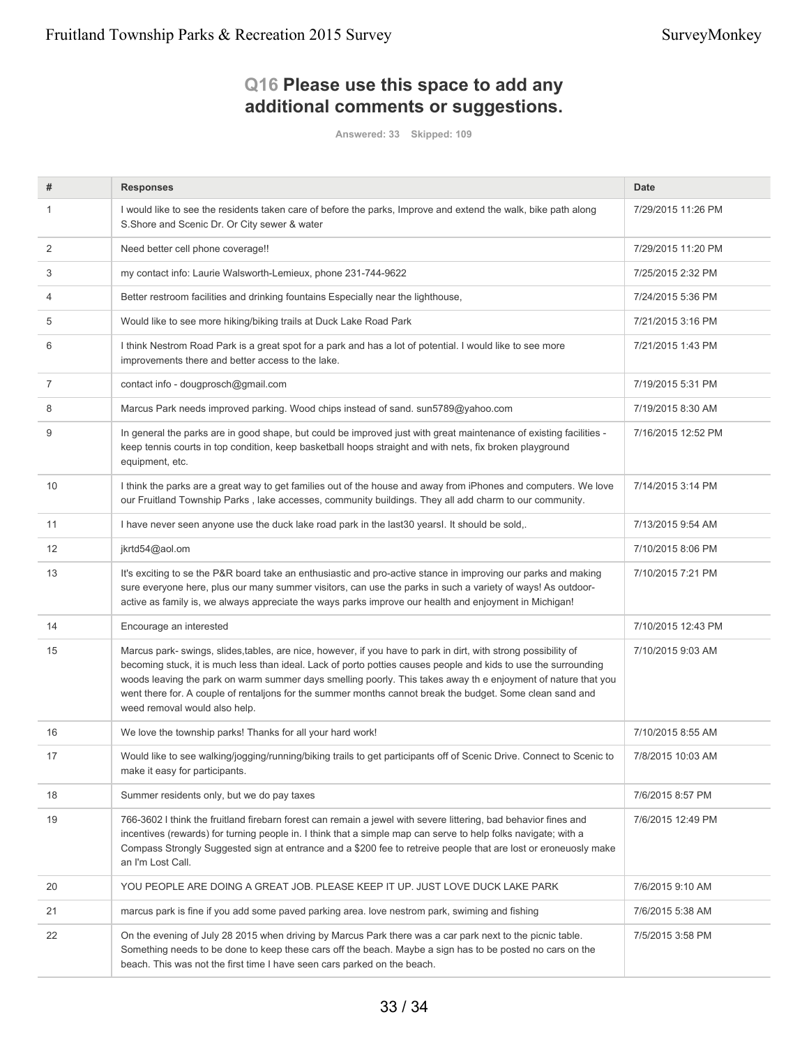# **Q16 Please use this space to add any additional comments or suggestions.**

**Answered: 33 Skipped: 109**

| #  | <b>Responses</b>                                                                                                                                                                                                                                                                                                                                                                                                                                                                                  | <b>Date</b>        |
|----|---------------------------------------------------------------------------------------------------------------------------------------------------------------------------------------------------------------------------------------------------------------------------------------------------------------------------------------------------------------------------------------------------------------------------------------------------------------------------------------------------|--------------------|
| 1  | I would like to see the residents taken care of before the parks, Improve and extend the walk, bike path along<br>S.Shore and Scenic Dr. Or City sewer & water                                                                                                                                                                                                                                                                                                                                    | 7/29/2015 11:26 PM |
| 2  | Need better cell phone coverage!!                                                                                                                                                                                                                                                                                                                                                                                                                                                                 | 7/29/2015 11:20 PM |
| 3  | my contact info: Laurie Walsworth-Lemieux, phone 231-744-9622                                                                                                                                                                                                                                                                                                                                                                                                                                     | 7/25/2015 2:32 PM  |
| 4  | Better restroom facilities and drinking fountains Especially near the lighthouse,                                                                                                                                                                                                                                                                                                                                                                                                                 | 7/24/2015 5:36 PM  |
| 5  | Would like to see more hiking/biking trails at Duck Lake Road Park                                                                                                                                                                                                                                                                                                                                                                                                                                | 7/21/2015 3:16 PM  |
| 6  | I think Nestrom Road Park is a great spot for a park and has a lot of potential. I would like to see more<br>improvements there and better access to the lake.                                                                                                                                                                                                                                                                                                                                    | 7/21/2015 1:43 PM  |
| 7  | contact info - dougprosch@gmail.com                                                                                                                                                                                                                                                                                                                                                                                                                                                               | 7/19/2015 5:31 PM  |
| 8  | Marcus Park needs improved parking. Wood chips instead of sand. sun5789@yahoo.com                                                                                                                                                                                                                                                                                                                                                                                                                 | 7/19/2015 8:30 AM  |
| 9  | In general the parks are in good shape, but could be improved just with great maintenance of existing facilities -<br>keep tennis courts in top condition, keep basketball hoops straight and with nets, fix broken playground<br>equipment, etc.                                                                                                                                                                                                                                                 | 7/16/2015 12:52 PM |
| 10 | I think the parks are a great way to get families out of the house and away from iPhones and computers. We love<br>our Fruitland Township Parks, lake accesses, community buildings. They all add charm to our community.                                                                                                                                                                                                                                                                         | 7/14/2015 3:14 PM  |
| 11 | I have never seen anyone use the duck lake road park in the last 30 years l. It should be sold,.                                                                                                                                                                                                                                                                                                                                                                                                  | 7/13/2015 9:54 AM  |
| 12 | jkrtd54@aol.om                                                                                                                                                                                                                                                                                                                                                                                                                                                                                    | 7/10/2015 8:06 PM  |
| 13 | It's exciting to se the P&R board take an enthusiastic and pro-active stance in improving our parks and making<br>sure everyone here, plus our many summer visitors, can use the parks in such a variety of ways! As outdoor-<br>active as family is, we always appreciate the ways parks improve our health and enjoyment in Michigan!                                                                                                                                                           | 7/10/2015 7:21 PM  |
| 14 | Encourage an interested                                                                                                                                                                                                                                                                                                                                                                                                                                                                           | 7/10/2015 12:43 PM |
| 15 | Marcus park- swings, slides, tables, are nice, however, if you have to park in dirt, with strong possibility of<br>becoming stuck, it is much less than ideal. Lack of porto potties causes people and kids to use the surrounding<br>woods leaving the park on warm summer days smelling poorly. This takes away th e enjoyment of nature that you<br>went there for. A couple of rentaljons for the summer months cannot break the budget. Some clean sand and<br>weed removal would also help. | 7/10/2015 9:03 AM  |
| 16 | We love the township parks! Thanks for all your hard work!                                                                                                                                                                                                                                                                                                                                                                                                                                        | 7/10/2015 8:55 AM  |
| 17 | Would like to see walking/jogging/running/biking trails to get participants off of Scenic Drive. Connect to Scenic to<br>make it easy for participants.                                                                                                                                                                                                                                                                                                                                           | 7/8/2015 10:03 AM  |
| 18 | Summer residents only, but we do pay taxes                                                                                                                                                                                                                                                                                                                                                                                                                                                        | 7/6/2015 8:57 PM   |
| 19 | 766-3602 I think the fruitland firebarn forest can remain a jewel with severe littering, bad behavior fines and<br>incentives (rewards) for turning people in. I think that a simple map can serve to help folks navigate; with a<br>Compass Strongly Suggested sign at entrance and a \$200 fee to retreive people that are lost or eroneuosly make<br>an I'm Lost Call.                                                                                                                         | 7/6/2015 12:49 PM  |
| 20 | YOU PEOPLE ARE DOING A GREAT JOB. PLEASE KEEP IT UP. JUST LOVE DUCK LAKE PARK                                                                                                                                                                                                                                                                                                                                                                                                                     | 7/6/2015 9:10 AM   |
| 21 | marcus park is fine if you add some paved parking area. love nestrom park, swiming and fishing                                                                                                                                                                                                                                                                                                                                                                                                    | 7/6/2015 5:38 AM   |
| 22 | On the evening of July 28 2015 when driving by Marcus Park there was a car park next to the picnic table.<br>Something needs to be done to keep these cars off the beach. Maybe a sign has to be posted no cars on the<br>beach. This was not the first time I have seen cars parked on the beach.                                                                                                                                                                                                | 7/5/2015 3:58 PM   |